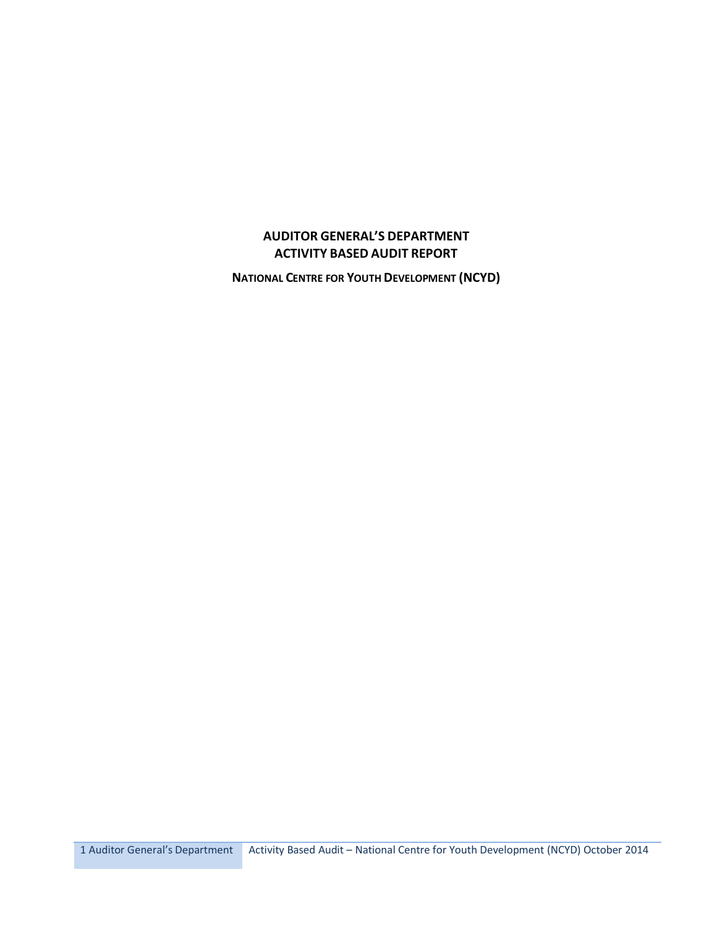### **AUDITOR GENERAL'S DEPARTMENT ACTIVITY BASED AUDIT REPORT**

**NATIONAL CENTRE FOR YOUTH DEVELOPMENT (NCYD)**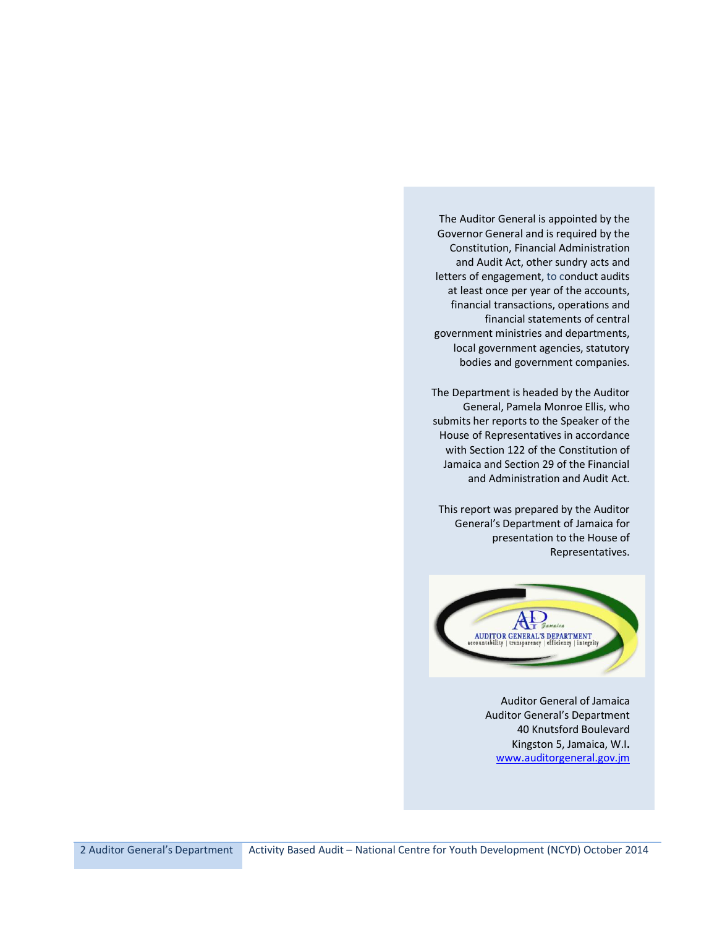The Auditor General is appointed by the Governor General and is required by the Constitution, Financial Administration and Audit Act, other sundry acts and letters of engagement, to conduct audits at least once per year of the accounts, financial transactions, operations and financial statements of central government ministries and departments, local government agencies, statutory bodies and government companies.

The Department is headed by the Auditor General, Pamela Monroe Ellis, who submits her reports to the Speaker of the House of Representatives in accordance with Section 122 of the Constitution of Jamaica and Section 29 of the Financial and Administration and Audit Act.

This report was prepared by the Auditor General's Department of Jamaica for presentation to the House of Representatives.



Auditor General of Jamaica Auditor General's Department 40 Knutsford Boulevard Kingston 5, Jamaica, W.I**.** www.auditorgeneral.gov.jm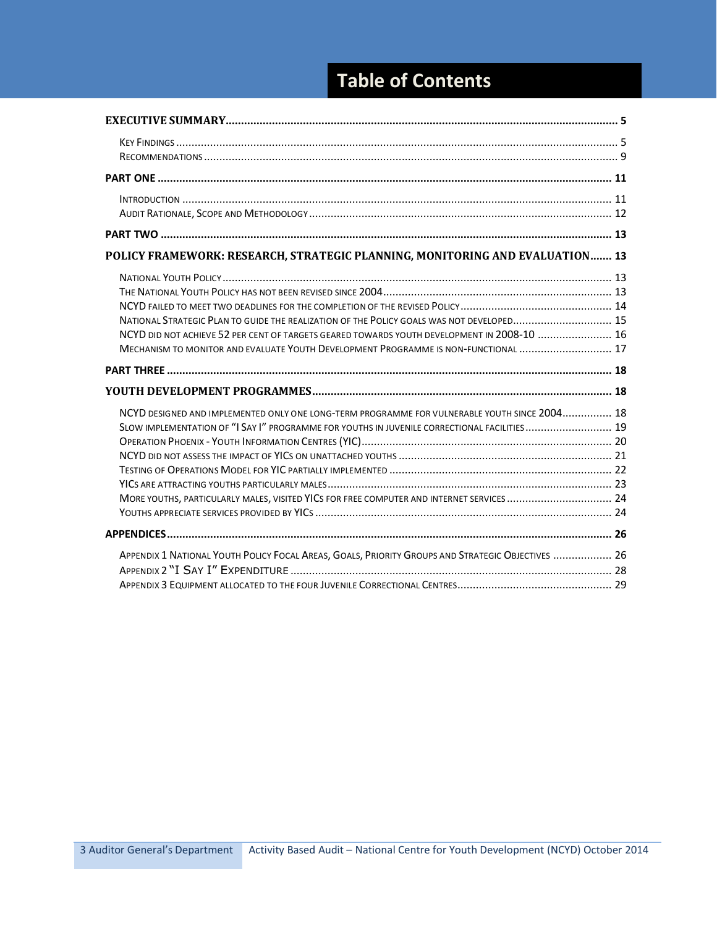# **Table of Contents**

| POLICY FRAMEWORK: RESEARCH, STRATEGIC PLANNING, MONITORING AND EVALUATION 13                                                                                                                                                                                                               |  |
|--------------------------------------------------------------------------------------------------------------------------------------------------------------------------------------------------------------------------------------------------------------------------------------------|--|
| NATIONAL STRATEGIC PLAN TO GUIDE THE REALIZATION OF THE POLICY GOALS WAS NOT DEVELOPED 15<br>NCYD DID NOT ACHIEVE 52 PER CENT OF TARGETS GEARED TOWARDS YOUTH DEVELOPMENT IN 2008-10  16<br>MECHANISM TO MONITOR AND EVALUATE YOUTH DEVELOPMENT PROGRAMME IS NON-FUNCTIONAL  17            |  |
|                                                                                                                                                                                                                                                                                            |  |
|                                                                                                                                                                                                                                                                                            |  |
| NCYD DESIGNED AND IMPLEMENTED ONLY ONE LONG-TERM PROGRAMME FOR VULNERABLE YOUTH SINCE 2004 18<br>SLOW IMPLEMENTATION OF "I SAY I" PROGRAMME FOR YOUTHS IN JUVENILE CORRECTIONAL FACILITIES 19<br>MORE YOUTHS, PARTICULARLY MALES, VISITED YICS FOR FREE COMPUTER AND INTERNET SERVICES  24 |  |
|                                                                                                                                                                                                                                                                                            |  |
| APPENDIX 1 NATIONAL YOUTH POLICY FOCAL AREAS, GOALS, PRIORITY GROUPS AND STRATEGIC OBJECTIVES  26                                                                                                                                                                                          |  |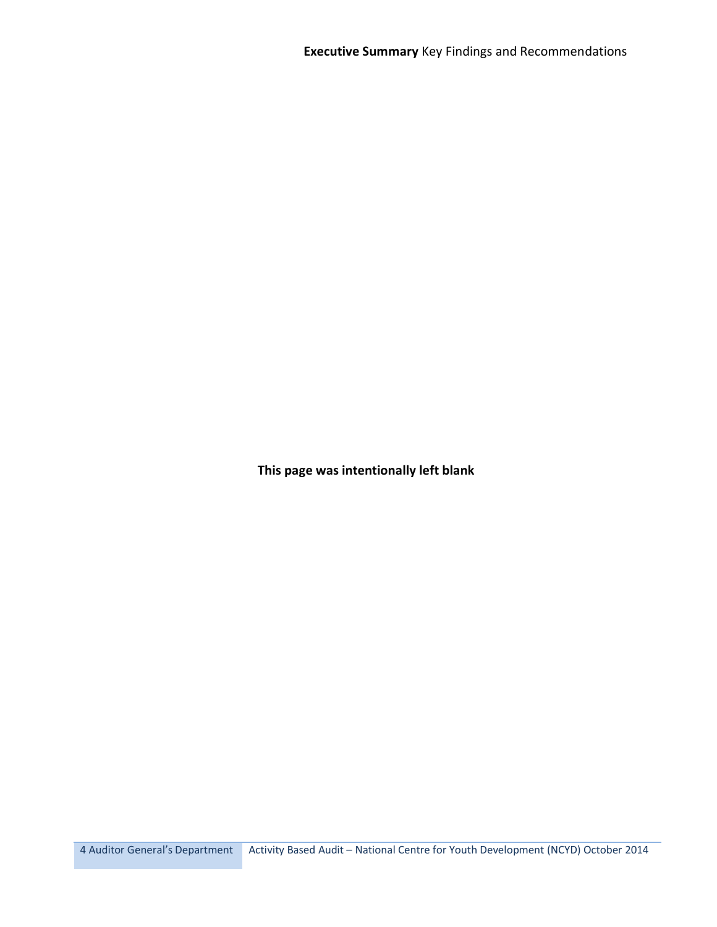**This page was intentionally left blank**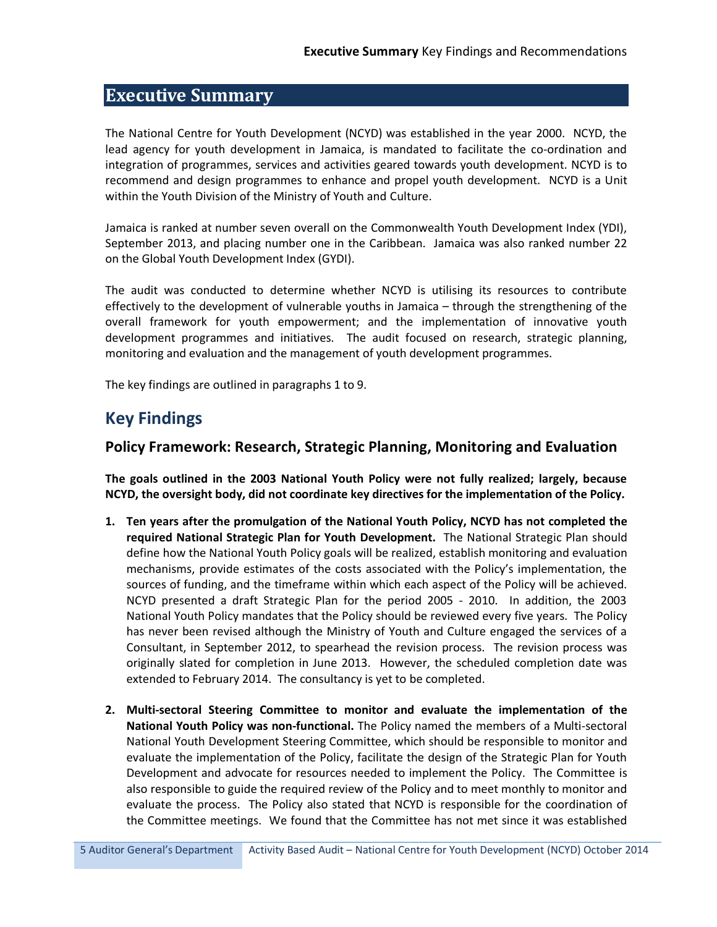# **Executive Summary**

The National Centre for Youth Development (NCYD) was established in the year 2000. NCYD, the lead agency for youth development in Jamaica, is mandated to facilitate the co-ordination and integration of programmes, services and activities geared towards youth development. NCYD is to recommend and design programmes to enhance and propel youth development. NCYD is a Unit within the Youth Division of the Ministry of Youth and Culture.

Jamaica is ranked at number seven overall on the Commonwealth Youth Development Index (YDI), September 2013, and placing number one in the Caribbean. Jamaica was also ranked number 22 on the Global Youth Development Index (GYDI).

The audit was conducted to determine whether NCYD is utilising its resources to contribute effectively to the development of vulnerable youths in Jamaica – through the strengthening of the overall framework for youth empowerment; and the implementation of innovative youth development programmes and initiatives. The audit focused on research, strategic planning, monitoring and evaluation and the management of youth development programmes.

The key findings are outlined in paragraphs 1 to 9.

# **Key Findings**

### **Policy Framework: Research, Strategic Planning, Monitoring and Evaluation**

**The goals outlined in the 2003 National Youth Policy were not fully realized; largely, because NCYD, the oversight body, did not coordinate key directives for the implementation of the Policy.** 

- **1. Ten years after the promulgation of the National Youth Policy, NCYD has not completed the required National Strategic Plan for Youth Development.** The National Strategic Plan should define how the National Youth Policy goals will be realized, establish monitoring and evaluation mechanisms, provide estimates of the costs associated with the Policy's implementation, the sources of funding, and the timeframe within which each aspect of the Policy will be achieved. NCYD presented a draft Strategic Plan for the period 2005 - 2010. In addition, the 2003 National Youth Policy mandates that the Policy should be reviewed every five years. The Policy has never been revised although the Ministry of Youth and Culture engaged the services of a Consultant, in September 2012, to spearhead the revision process. The revision process was originally slated for completion in June 2013. However, the scheduled completion date was extended to February 2014. The consultancy is yet to be completed.
- <span id="page-4-1"></span><span id="page-4-0"></span>**2. Multi-sectoral Steering Committee to monitor and evaluate the implementation of the National Youth Policy was non-functional.** The Policy named the members of a Multi-sectoral National Youth Development Steering Committee, which should be responsible to monitor and evaluate the implementation of the Policy, facilitate the design of the Strategic Plan for Youth Development and advocate for resources needed to implement the Policy. The Committee is also responsible to guide the required review of the Policy and to meet monthly to monitor and evaluate the process. The Policy also stated that NCYD is responsible for the coordination of the Committee meetings. We found that the Committee has not met since it was established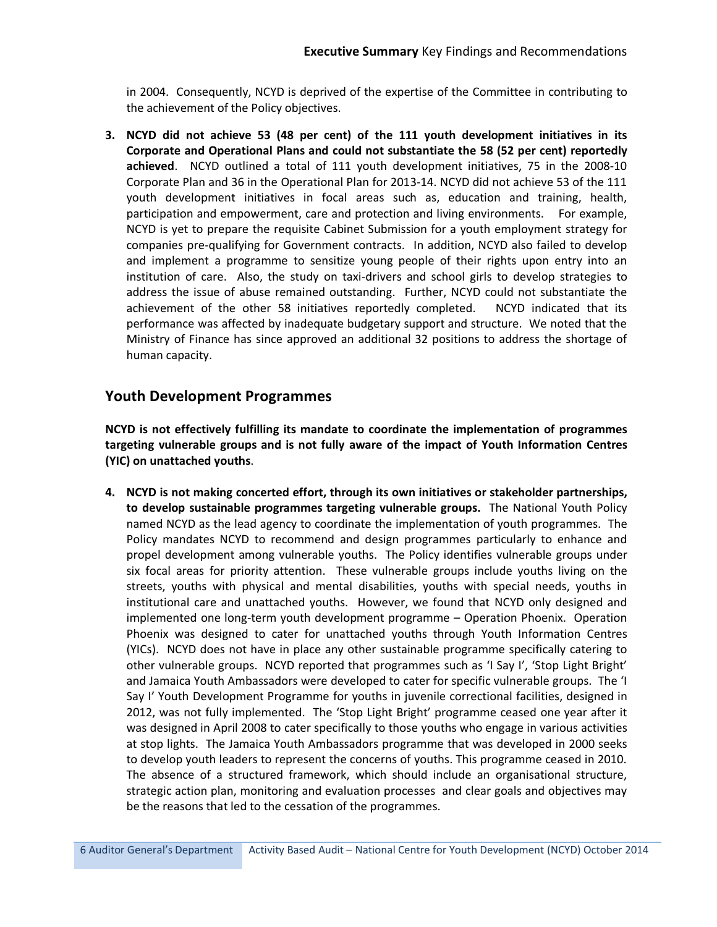in 2004. Consequently, NCYD is deprived of the expertise of the Committee in contributing to the achievement of the Policy objectives.

**3. NCYD did not achieve 53 (48 per cent) of the 111 youth development initiatives in its Corporate and Operational Plans and could not substantiate the 58 (52 per cent) reportedly achieved**. NCYD outlined a total of 111 youth development initiatives, 75 in the 2008-10 Corporate Plan and 36 in the Operational Plan for 2013-14. NCYD did not achieve 53 of the 111 youth development initiatives in focal areas such as, education and training, health, participation and empowerment, care and protection and living environments. For example, NCYD is yet to prepare the requisite Cabinet Submission for a youth employment strategy for companies pre-qualifying for Government contracts. In addition, NCYD also failed to develop and implement a programme to sensitize young people of their rights upon entry into an institution of care. Also, the study on taxi-drivers and school girls to develop strategies to address the issue of abuse remained outstanding. Further, NCYD could not substantiate the achievement of the other 58 initiatives reportedly completed. NCYD indicated that its performance was affected by inadequate budgetary support and structure. We noted that the Ministry of Finance has since approved an additional 32 positions to address the shortage of human capacity.

## **Youth Development Programmes**

**NCYD is not effectively fulfilling its mandate to coordinate the implementation of programmes targeting vulnerable groups and is not fully aware of the impact of Youth Information Centres (YIC) on unattached youths**.

**4. NCYD is not making concerted effort, through its own initiatives or stakeholder partnerships, to develop sustainable programmes targeting vulnerable groups.** The National Youth Policy named NCYD as the lead agency to coordinate the implementation of youth programmes. The Policy mandates NCYD to recommend and design programmes particularly to enhance and propel development among vulnerable youths. The Policy identifies vulnerable groups under six focal areas for priority attention. These vulnerable groups include youths living on the streets, youths with physical and mental disabilities, youths with special needs, youths in institutional care and unattached youths. However, we found that NCYD only designed and implemented one long-term youth development programme – Operation Phoenix. Operation Phoenix was designed to cater for unattached youths through Youth Information Centres (YICs). NCYD does not have in place any other sustainable programme specifically catering to other vulnerable groups. NCYD reported that programmes such as 'I Say I', 'Stop Light Bright' and Jamaica Youth Ambassadors were developed to cater for specific vulnerable groups. The 'I Say I' Youth Development Programme for youths in juvenile correctional facilities, designed in 2012, was not fully implemented. The 'Stop Light Bright' programme ceased one year after it was designed in April 2008 to cater specifically to those youths who engage in various activities at stop lights. The Jamaica Youth Ambassadors programme that was developed in 2000 seeks to develop youth leaders to represent the concerns of youths. This programme ceased in 2010. The absence of a structured framework, which should include an organisational structure, strategic action plan, monitoring and evaluation processes and clear goals and objectives may be the reasons that led to the cessation of the programmes.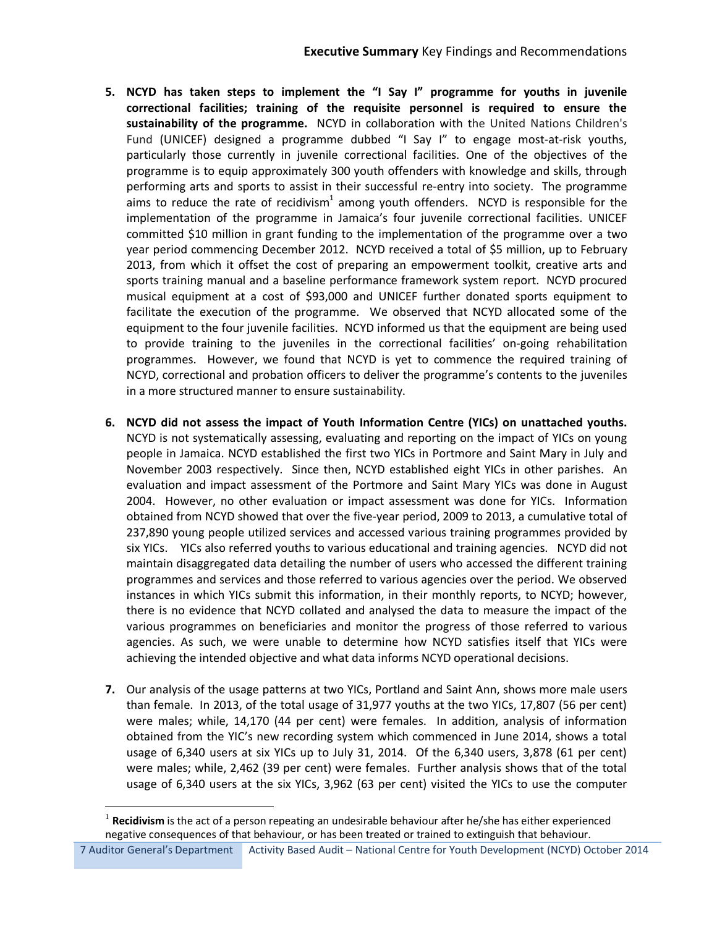- **5. NCYD has taken steps to implement the "I Say I" programme for youths in juvenile correctional facilities; training of the requisite personnel is required to ensure the sustainability of the programme.** NCYD in collaboration with the United Nations Children's Fund (UNICEF) designed a programme dubbed "I Say I" to engage most-at-risk youths, particularly those currently in juvenile correctional facilities. One of the objectives of the programme is to equip approximately 300 youth offenders with knowledge and skills, through performing arts and sports to assist in their successful re-entry into society. The programme aims to reduce the rate of recidivism<sup>1</sup> among youth offenders. NCYD is responsible for the implementation of the programme in Jamaica's four juvenile correctional facilities. UNICEF committed \$10 million in grant funding to the implementation of the programme over a two year period commencing December 2012. NCYD received a total of \$5 million, up to February 2013, from which it offset the cost of preparing an empowerment toolkit, creative arts and sports training manual and a baseline performance framework system report. NCYD procured musical equipment at a cost of \$93,000 and UNICEF further donated sports equipment to facilitate the execution of the programme. We observed that NCYD allocated some of the equipment to the four juvenile facilities. NCYD informed us that the equipment are being used to provide training to the juveniles in the correctional facilities' on-going rehabilitation programmes. However, we found that NCYD is yet to commence the required training of NCYD, correctional and probation officers to deliver the programme's contents to the juveniles in a more structured manner to ensure sustainability.
- **6. NCYD did not assess the impact of Youth Information Centre (YICs) on unattached youths.**  NCYD is not systematically assessing, evaluating and reporting on the impact of YICs on young people in Jamaica. NCYD established the first two YICs in Portmore and Saint Mary in July and November 2003 respectively. Since then, NCYD established eight YICs in other parishes. An evaluation and impact assessment of the Portmore and Saint Mary YICs was done in August 2004. However, no other evaluation or impact assessment was done for YICs. Information obtained from NCYD showed that over the five-year period, 2009 to 2013, a cumulative total of 237,890 young people utilized services and accessed various training programmes provided by six YICs. YICs also referred youths to various educational and training agencies. NCYD did not maintain disaggregated data detailing the number of users who accessed the different training programmes and services and those referred to various agencies over the period. We observed instances in which YICs submit this information, in their monthly reports, to NCYD; however, there is no evidence that NCYD collated and analysed the data to measure the impact of the various programmes on beneficiaries and monitor the progress of those referred to various agencies. As such, we were unable to determine how NCYD satisfies itself that YICs were achieving the intended objective and what data informs NCYD operational decisions.
- **7.** Our analysis of the usage patterns at two YICs, Portland and Saint Ann, shows more male users than female. In 2013, of the total usage of 31,977 youths at the two YICs, 17,807 (56 per cent) were males; while, 14,170 (44 per cent) were females. In addition, analysis of information obtained from the YIC's new recording system which commenced in June 2014, shows a total usage of 6,340 users at six YICs up to July 31, 2014. Of the 6,340 users, 3,878 (61 per cent) were males; while, 2,462 (39 per cent) were females. Further analysis shows that of the total usage of 6,340 users at the six YICs, 3,962 (63 per cent) visited the YICs to use the computer

 <sup>1</sup> **Recidivism** is the act of a person repeating an undesirable behaviour after he/she has either experienced negative consequences of that behaviour, or has been treated or trained to extinguish that behaviour.

<sup>7</sup> Auditor General's Department Activity Based Audit – National Centre for Youth Development (NCYD) October 2014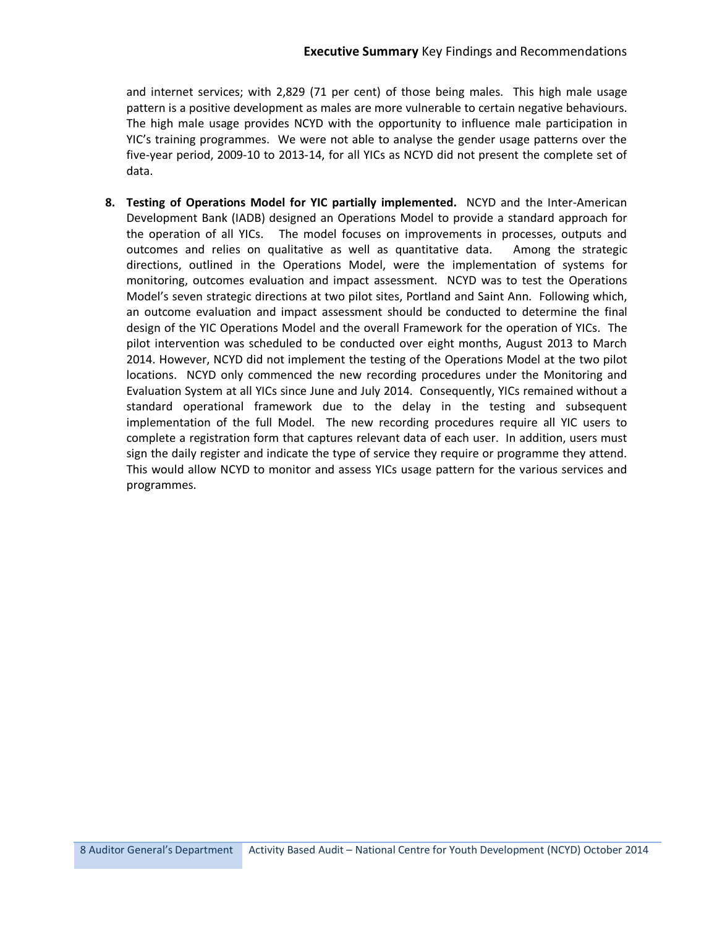and internet services; with 2,829 (71 per cent) of those being males. This high male usage pattern is a positive development as males are more vulnerable to certain negative behaviours. The high male usage provides NCYD with the opportunity to influence male participation in YIC's training programmes. We were not able to analyse the gender usage patterns over the five-year period, 2009-10 to 2013-14, for all YICs as NCYD did not present the complete set of data.

**8. Testing of Operations Model for YIC partially implemented.** NCYD and the Inter-American Development Bank (IADB) designed an Operations Model to provide a standard approach for the operation of all YICs. The model focuses on improvements in processes, outputs and outcomes and relies on qualitative as well as quantitative data. Among the strategic directions, outlined in the Operations Model, were the implementation of systems for monitoring, outcomes evaluation and impact assessment. NCYD was to test the Operations Model's seven strategic directions at two pilot sites, Portland and Saint Ann. Following which, an outcome evaluation and impact assessment should be conducted to determine the final design of the YIC Operations Model and the overall Framework for the operation of YICs. The pilot intervention was scheduled to be conducted over eight months, August 2013 to March 2014. However, NCYD did not implement the testing of the Operations Model at the two pilot locations. NCYD only commenced the new recording procedures under the Monitoring and Evaluation System at all YICs since June and July 2014. Consequently, YICs remained without a standard operational framework due to the delay in the testing and subsequent implementation of the full Model. The new recording procedures require all YIC users to complete a registration form that captures relevant data of each user. In addition, users must sign the daily register and indicate the type of service they require or programme they attend. This would allow NCYD to monitor and assess YICs usage pattern for the various services and programmes.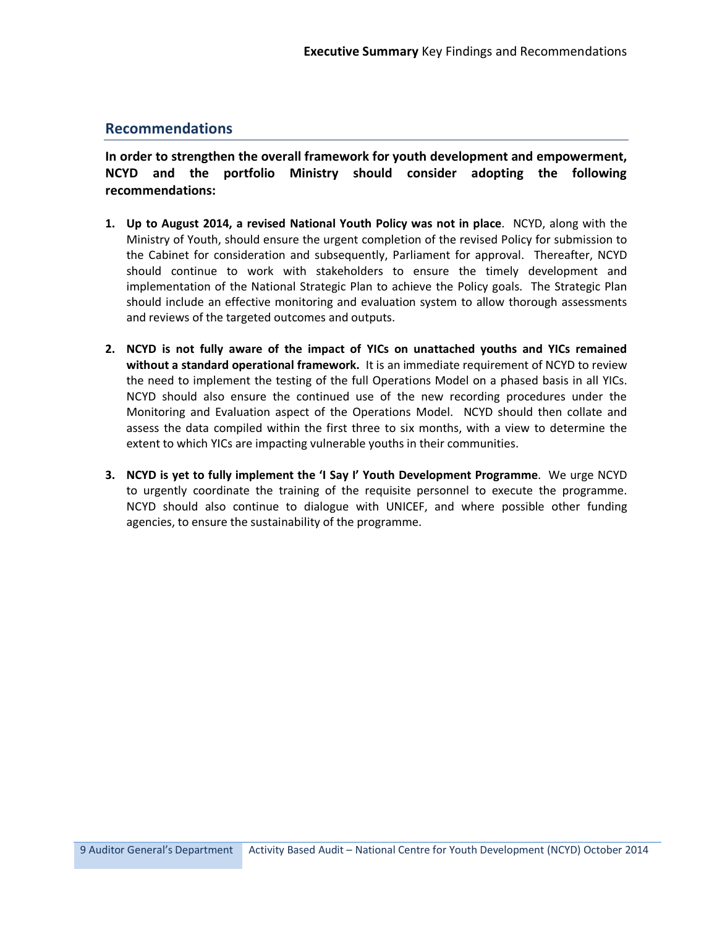### **Recommendations**

**In order to strengthen the overall framework for youth development and empowerment, NCYD and the portfolio Ministry should consider adopting the following recommendations:** 

- **1. Up to August 2014, a revised National Youth Policy was not in place**. NCYD, along with the Ministry of Youth, should ensure the urgent completion of the revised Policy for submission to the Cabinet for consideration and subsequently, Parliament for approval. Thereafter, NCYD should continue to work with stakeholders to ensure the timely development and implementation of the National Strategic Plan to achieve the Policy goals. The Strategic Plan should include an effective monitoring and evaluation system to allow thorough assessments and reviews of the targeted outcomes and outputs.
- **2. NCYD is not fully aware of the impact of YICs on unattached youths and YICs remained without a standard operational framework.** It is an immediate requirement of NCYD to review the need to implement the testing of the full Operations Model on a phased basis in all YICs. NCYD should also ensure the continued use of the new recording procedures under the Monitoring and Evaluation aspect of the Operations Model. NCYD should then collate and assess the data compiled within the first three to six months, with a view to determine the extent to which YICs are impacting vulnerable youths in their communities.
- <span id="page-8-0"></span>**3. NCYD is yet to fully implement the 'I Say I' Youth Development Programme**. We urge NCYD to urgently coordinate the training of the requisite personnel to execute the programme. NCYD should also continue to dialogue with UNICEF, and where possible other funding agencies, to ensure the sustainability of the programme.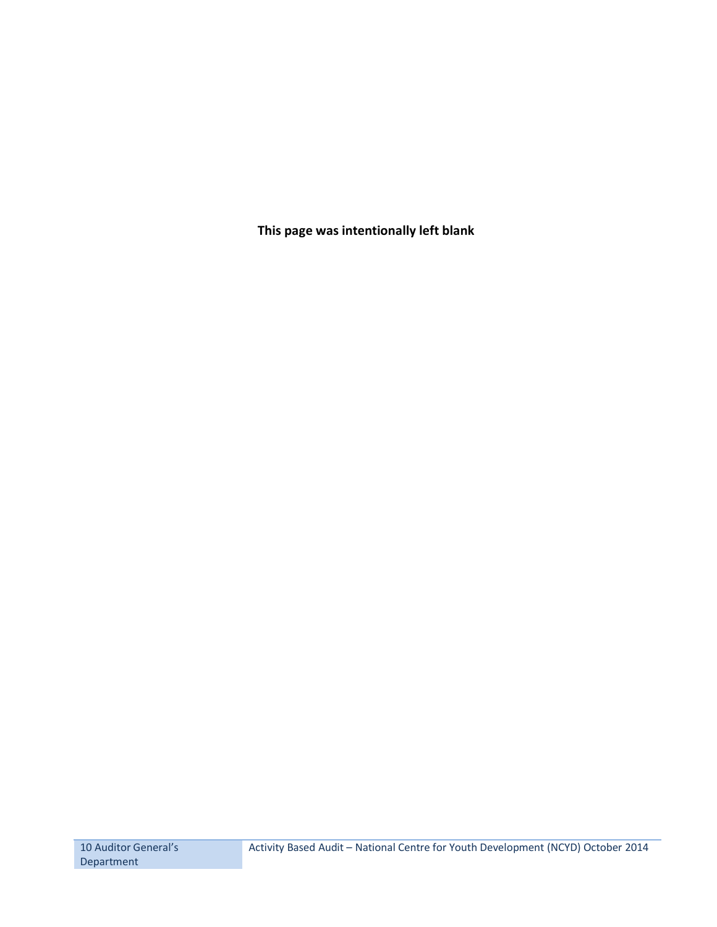**This page was intentionally left blank**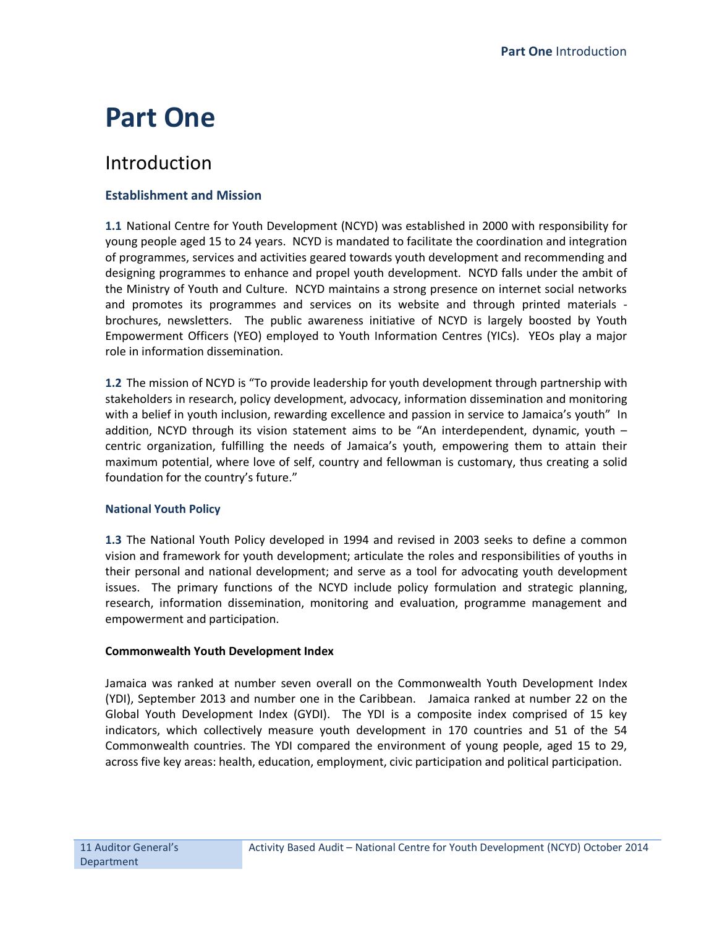# **Part One**

# Introduction

### **Establishment and Mission**

**1.1** National Centre for Youth Development (NCYD) was established in 2000 with responsibility for young people aged 15 to 24 years. NCYD is mandated to facilitate the coordination and integration of programmes, services and activities geared towards youth development and recommending and designing programmes to enhance and propel youth development. NCYD falls under the ambit of the Ministry of Youth and Culture. NCYD maintains a strong presence on internet social networks and promotes its programmes and services on its website and through printed materials brochures, newsletters. The public awareness initiative of NCYD is largely boosted by Youth Empowerment Officers (YEO) employed to Youth Information Centres (YICs). YEOs play a major role in information dissemination.

**1.2** The mission of NCYD is "To provide leadership for youth development through partnership with stakeholders in research, policy development, advocacy, information dissemination and monitoring with a belief in youth inclusion, rewarding excellence and passion in service to Jamaica's youth" In addition, NCYD through its vision statement aims to be "An interdependent, dynamic, youth – centric organization, fulfilling the needs of Jamaica's youth, empowering them to attain their maximum potential, where love of self, country and fellowman is customary, thus creating a solid foundation for the country's future."

### **National Youth Policy**

**1.3** The National Youth Policy developed in 1994 and revised in 2003 seeks to define a common vision and framework for youth development; articulate the roles and responsibilities of youths in their personal and national development; and serve as a tool for advocating youth development issues. The primary functions of the NCYD include policy formulation and strategic planning, research, information dissemination, monitoring and evaluation, programme management and empowerment and participation.

### **Commonwealth Youth Development Index**

<span id="page-10-1"></span><span id="page-10-0"></span>Jamaica was ranked at number seven overall on the Commonwealth Youth Development Index (YDI), September 2013 and number one in the Caribbean. Jamaica ranked at number 22 on the Global Youth Development Index (GYDI). The YDI is a composite index comprised of 15 key indicators, which collectively measure youth development in 170 countries and 51 of the 54 Commonwealth countries. The YDI compared the environment of young people, aged 15 to 29, across five key areas: health, education, employment, civic participation and political participation.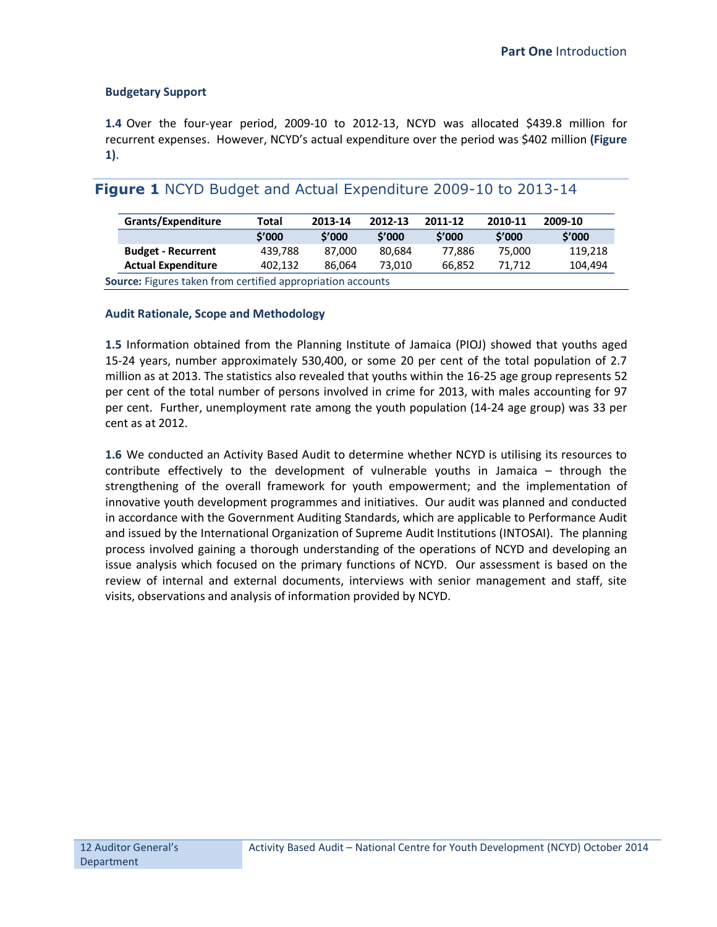### **Budgetary Support**

**1.4** Over the four-year period, 2009-10 to 2012-13, NCYD was allocated \$439.8 million for recurrent expenses. However, NCYD's actual expenditure over the period was \$402 million **(Figure 1)**.

# **Figure 1** NCYD Budget and Actual Expenditure 2009-10 to 2013-14

| \$'000<br>\$′000<br>\$'000<br>\$'000<br>\$′000<br>\$'000<br>439.788<br>80.684<br>77.886<br>87.000<br>75.000 | Grants/Expenditure        | Total | 2013-14 | 2012-13 | 2011-12 | 2010-11 | 2009-10 |
|-------------------------------------------------------------------------------------------------------------|---------------------------|-------|---------|---------|---------|---------|---------|
|                                                                                                             |                           |       |         |         |         |         |         |
|                                                                                                             | <b>Budget - Recurrent</b> |       |         |         |         |         | 119.218 |
| <b>Actual Expenditure</b><br>73.010<br>104.494<br>402.132<br>86.064<br>66.852<br>71.712                     |                           |       |         |         |         |         |         |

**Source:** Figures taken from certified appropriation accounts

### **Audit Rationale, Scope and Methodology**

**1.5** Information obtained from the Planning Institute of Jamaica (PIOJ) showed that youths aged 15-24 years, number approximately 530,400, or some 20 per cent of the total population of 2.7 million as at 2013. The statistics also revealed that youths within the 16-25 age group represents 52 per cent of the total number of persons involved in crime for 2013, with males accounting for 97 per cent. Further, unemployment rate among the youth population (14-24 age group) was 33 per cent as at 2012.

<span id="page-11-0"></span>**1.6** We conducted an Activity Based Audit to determine whether NCYD is utilising its resources to contribute effectively to the development of vulnerable youths in Jamaica – through the strengthening of the overall framework for youth empowerment; and the implementation of innovative youth development programmes and initiatives. Our audit was planned and conducted in accordance with the Government Auditing Standards, which are applicable to Performance Audit and issued by the International Organization of Supreme Audit Institutions (INTOSAI). The planning process involved gaining a thorough understanding of the operations of NCYD and developing an issue analysis which focused on the primary functions of NCYD. Our assessment is based on the review of internal and external documents, interviews with senior management and staff, site visits, observations and analysis of information provided by NCYD.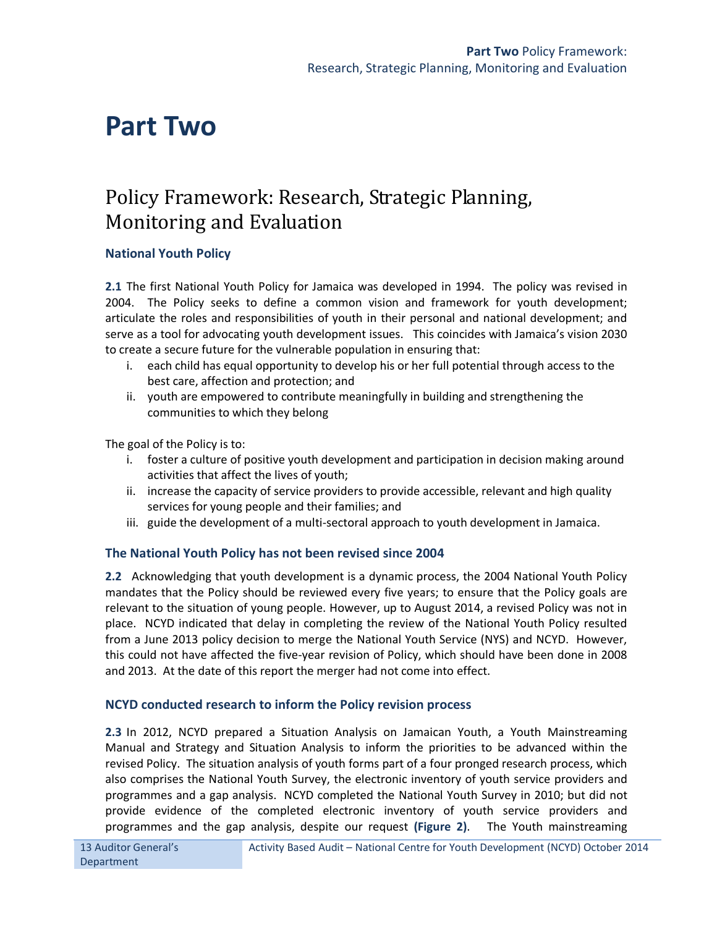# **Part Two**

# Policy Framework: Research, Strategic Planning, Monitoring and Evaluation

### **National Youth Policy**

**2.1** The first National Youth Policy for Jamaica was developed in 1994. The policy was revised in 2004. The Policy seeks to define a common vision and framework for youth development; articulate the roles and responsibilities of youth in their personal and national development; and serve as a tool for advocating youth development issues. This coincides with Jamaica's vision 2030 to create a secure future for the vulnerable population in ensuring that:

- i. each child has equal opportunity to develop his or her full potential through access to the best care, affection and protection; and
- ii. youth are empowered to contribute meaningfully in building and strengthening the communities to which they belong

The goal of the Policy is to:

- i. foster a culture of positive youth development and participation in decision making around activities that affect the lives of youth;
- ii. increase the capacity of service providers to provide accessible, relevant and high quality services for young people and their families; and
- iii. guide the development of a multi-sectoral approach to youth development in Jamaica.

### **The National Youth Policy has not been revised since 2004**

**2.2** Acknowledging that youth development is a dynamic process, the 2004 National Youth Policy mandates that the Policy should be reviewed every five years; to ensure that the Policy goals are relevant to the situation of young people. However, up to August 2014, a revised Policy was not in place. NCYD indicated that delay in completing the review of the National Youth Policy resulted from a June 2013 policy decision to merge the National Youth Service (NYS) and NCYD. However, this could not have affected the five-year revision of Policy, which should have been done in 2008 and 2013. At the date of this report the merger had not come into effect.

### **NCYD conducted research to inform the Policy revision process**

<span id="page-12-3"></span><span id="page-12-2"></span><span id="page-12-1"></span><span id="page-12-0"></span>**2.3** In 2012, NCYD prepared a Situation Analysis on Jamaican Youth, a Youth Mainstreaming Manual and Strategy and Situation Analysis to inform the priorities to be advanced within the revised Policy. The situation analysis of youth forms part of a four pronged research process, which also comprises the National Youth Survey, the electronic inventory of youth service providers and programmes and a gap analysis. NCYD completed the National Youth Survey in 2010; but did not provide evidence of the completed electronic inventory of youth service providers and programmes and the gap analysis, despite our request **(Figure 2)**. The Youth mainstreaming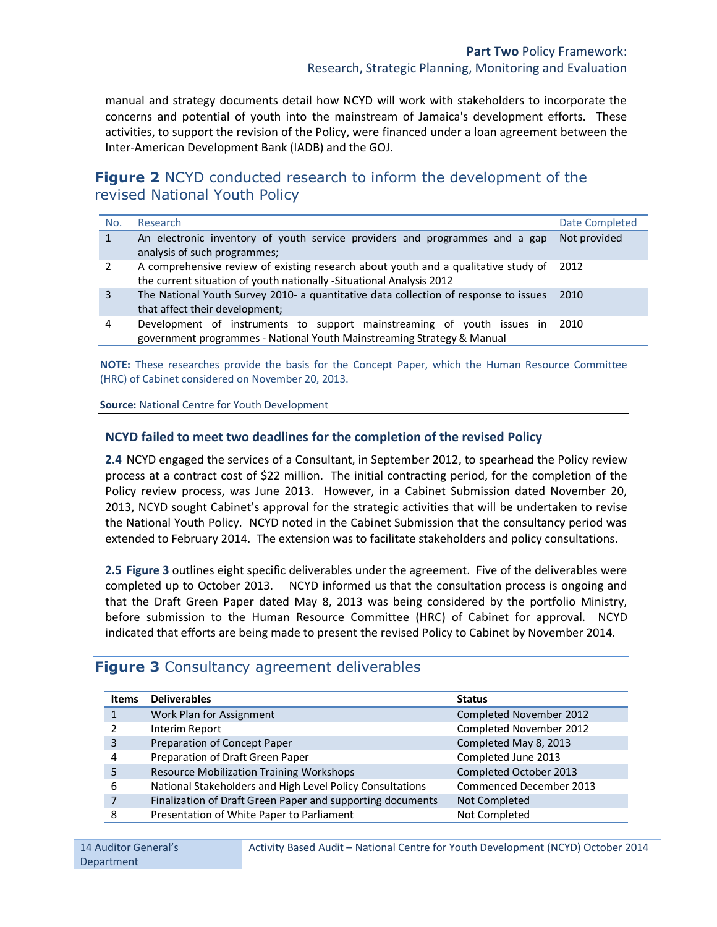manual and strategy documents detail how NCYD will work with stakeholders to incorporate the concerns and potential of youth into the mainstream of Jamaica's development efforts. These activities, to support the revision of the Policy, were financed under a loan agreement between the Inter-American Development Bank (IADB) and the GOJ.

# **Figure 2** NCYD conducted research to inform the development of the revised National Youth Policy

| No. | Research                                                                                                                                                   | Date Completed |
|-----|------------------------------------------------------------------------------------------------------------------------------------------------------------|----------------|
|     | An electronic inventory of youth service providers and programmes and a gap<br>analysis of such programmes;                                                | Not provided   |
|     | A comprehensive review of existing research about youth and a qualitative study of<br>the current situation of youth nationally -Situational Analysis 2012 | 2012           |
| 3   | The National Youth Survey 2010- a quantitative data collection of response to issues<br>that affect their development;                                     | 2010           |
| 4   | Development of instruments to support mainstreaming of youth issues in<br>government programmes - National Youth Mainstreaming Strategy & Manual           | 2010           |

**NOTE:** These researches provide the basis for the Concept Paper, which the Human Resource Committee (HRC) of Cabinet considered on November 20, 2013.

**Source:** National Centre for Youth Development

### **NCYD failed to meet two deadlines for the completion of the revised Policy**

**2.4** NCYD engaged the services of a Consultant, in September 2012, to spearhead the Policy review process at a contract cost of \$22 million. The initial contracting period, for the completion of the Policy review process, was June 2013. However, in a Cabinet Submission dated November 20, 2013, NCYD sought Cabinet's approval for the strategic activities that will be undertaken to revise the National Youth Policy. NCYD noted in the Cabinet Submission that the consultancy period was extended to February 2014. The extension was to facilitate stakeholders and policy consultations.

**2.5 Figure 3** outlines eight specific deliverables under the agreement. Five of the deliverables were completed up to October 2013. NCYD informed us that the consultation process is ongoing and that the Draft Green Paper dated May 8, 2013 was being considered by the portfolio Ministry, before submission to the Human Resource Committee (HRC) of Cabinet for approval. NCYD indicated that efforts are being made to present the revised Policy to Cabinet by November 2014.

### **Figure 3** Consultancy agreement deliverables

| <b>Items</b> | <b>Deliverables</b>                                        | <b>Status</b>           |
|--------------|------------------------------------------------------------|-------------------------|
|              | Work Plan for Assignment                                   | Completed November 2012 |
|              | Interim Report                                             | Completed November 2012 |
| 3            | Preparation of Concept Paper                               | Completed May 8, 2013   |
| 4            | Preparation of Draft Green Paper                           | Completed June 2013     |
| 5            | <b>Resource Mobilization Training Workshops</b>            | Completed October 2013  |
| 6            | National Stakeholders and High Level Policy Consultations  | Commenced December 2013 |
|              | Finalization of Draft Green Paper and supporting documents | Not Completed           |
| 8            | Presentation of White Paper to Parliament                  | Not Completed           |

<span id="page-13-0"></span>Activity Based Audit – National Centre for Youth Development (NCYD) October 2014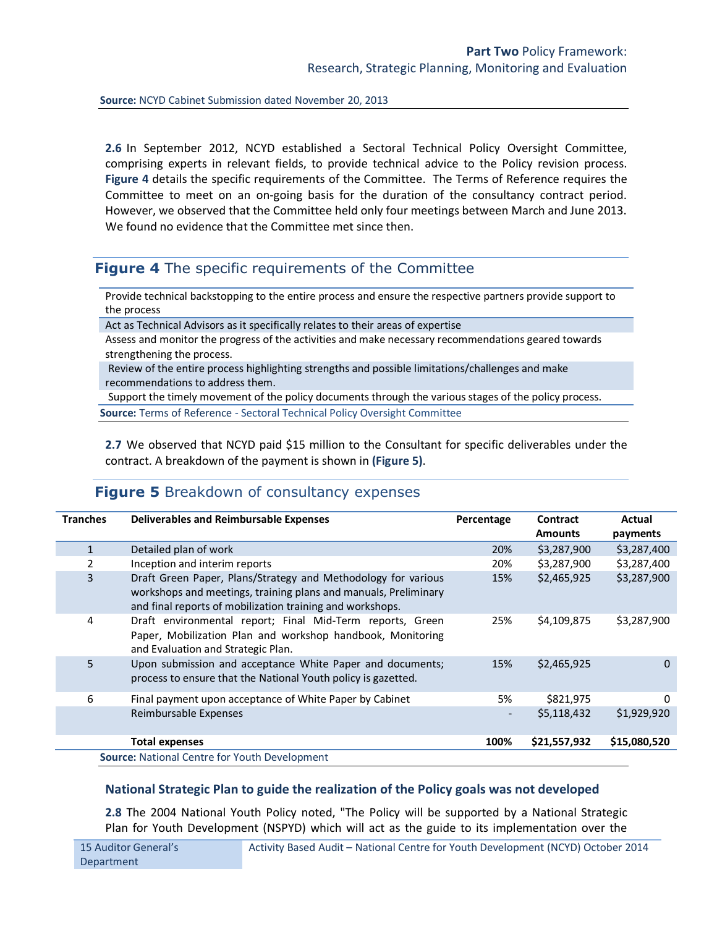**2.6** In September 2012, NCYD established a Sectoral Technical Policy Oversight Committee, comprising experts in relevant fields, to provide technical advice to the Policy revision process. **Figure 4** details the specific requirements of the Committee. The Terms of Reference requires the Committee to meet on an on-going basis for the duration of the consultancy contract period. However, we observed that the Committee held only four meetings between March and June 2013. We found no evidence that the Committee met since then.

# **Figure 4** The specific requirements of the Committee

Provide technical backstopping to the entire process and ensure the respective partners provide support to the process

Act as Technical Advisors as it specifically relates to their areas of expertise

Assess and monitor the progress of the activities and make necessary recommendations geared towards strengthening the process.

Review of the entire process highlighting strengths and possible limitations/challenges and make recommendations to address them.

Support the timely movement of the policy documents through the various stages of the policy process. **Source:** Terms of Reference - Sectoral Technical Policy Oversight Committee

**2.7** We observed that NCYD paid \$15 million to the Consultant for specific deliverables under the contract. A breakdown of the payment is shown in **(Figure 5)**.

# **Figure 5** Breakdown of consultancy expenses

| Tranches       | <b>Deliverables and Reimbursable Expenses</b>                                                                                                                                                 | Percentage | <b>Contract</b> | Actual       |
|----------------|-----------------------------------------------------------------------------------------------------------------------------------------------------------------------------------------------|------------|-----------------|--------------|
|                |                                                                                                                                                                                               |            | <b>Amounts</b>  | payments     |
| $\mathbf{1}$   | Detailed plan of work                                                                                                                                                                         | 20%        | \$3,287,900     | \$3,287,400  |
| $\overline{2}$ | Inception and interim reports                                                                                                                                                                 | 20%        | \$3,287,900     | \$3,287,400  |
| 3              | Draft Green Paper, Plans/Strategy and Methodology for various<br>workshops and meetings, training plans and manuals, Preliminary<br>and final reports of mobilization training and workshops. | 15%        | \$2,465,925     | \$3,287,900  |
| 4              | Draft environmental report; Final Mid-Term reports, Green<br>Paper, Mobilization Plan and workshop handbook, Monitoring<br>and Evaluation and Strategic Plan.                                 | 25%        | \$4,109,875     | \$3,287,900  |
| 5              | Upon submission and acceptance White Paper and documents;<br>process to ensure that the National Youth policy is gazetted.                                                                    | 15%        | \$2,465,925     | $\Omega$     |
| 6              | Final payment upon acceptance of White Paper by Cabinet                                                                                                                                       | 5%         | \$821,975       | 0            |
|                | Reimbursable Expenses                                                                                                                                                                         |            | \$5,118,432     | \$1,929,920  |
|                | Total expenses                                                                                                                                                                                | 100%       | \$21,557,932    | \$15,080,520 |
|                | <b>Source: National Centre for Youth Development</b>                                                                                                                                          |            |                 |              |

### **National Strategic Plan to guide the realization of the Policy goals was not developed**

<span id="page-14-0"></span>**2.8** The 2004 National Youth Policy noted, "The Policy will be supported by a National Strategic Plan for Youth Development (NSPYD) which will act as the guide to its implementation over the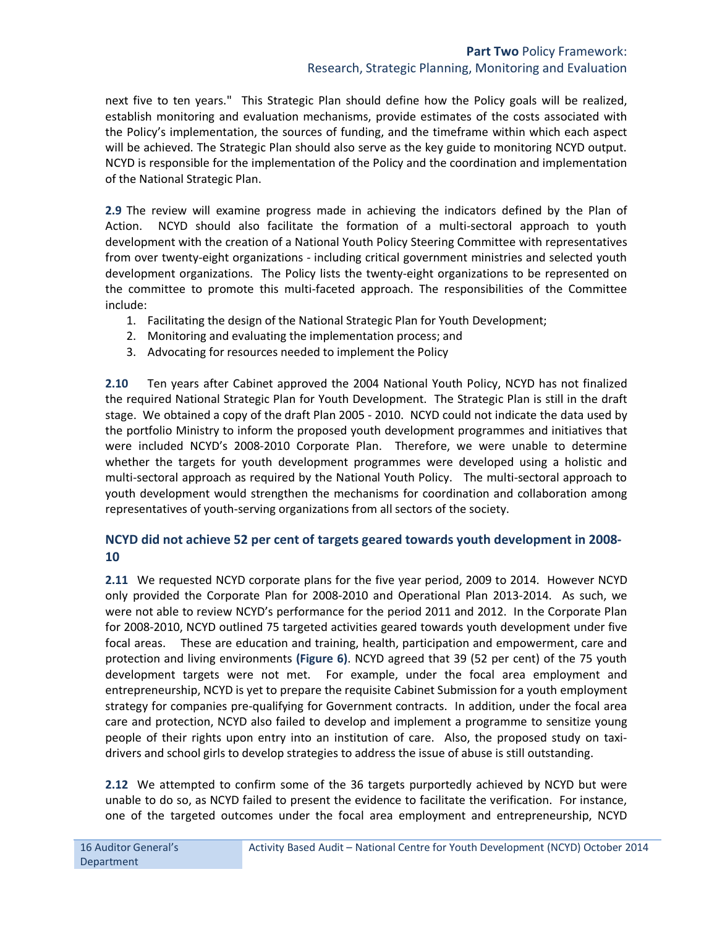next five to ten years." This Strategic Plan should define how the Policy goals will be realized, establish monitoring and evaluation mechanisms, provide estimates of the costs associated with the Policy's implementation, the sources of funding, and the timeframe within which each aspect will be achieved. The Strategic Plan should also serve as the key guide to monitoring NCYD output. NCYD is responsible for the implementation of the Policy and the coordination and implementation of the National Strategic Plan.

**2.9** The review will examine progress made in achieving the indicators defined by the Plan of Action. NCYD should also facilitate the formation of a multi-sectoral approach to youth development with the creation of a National Youth Policy Steering Committee with representatives from over twenty-eight organizations - including critical government ministries and selected youth development organizations. The Policy lists the twenty-eight organizations to be represented on the committee to promote this multi-faceted approach. The responsibilities of the Committee include:

- 1. Facilitating the design of the National Strategic Plan for Youth Development;
- 2. Monitoring and evaluating the implementation process; and
- 3. Advocating for resources needed to implement the Policy

**2.10** Ten years after Cabinet approved the 2004 National Youth Policy, NCYD has not finalized the required National Strategic Plan for Youth Development. The Strategic Plan is still in the draft stage. We obtained a copy of the draft Plan 2005 - 2010. NCYD could not indicate the data used by the portfolio Ministry to inform the proposed youth development programmes and initiatives that were included NCYD's 2008-2010 Corporate Plan. Therefore, we were unable to determine whether the targets for youth development programmes were developed using a holistic and multi-sectoral approach as required by the National Youth Policy. The multi-sectoral approach to youth development would strengthen the mechanisms for coordination and collaboration among representatives of youth-serving organizations from all sectors of the society.

## **NCYD did not achieve 52 per cent of targets geared towards youth development in 2008- 10**

**2.11** We requested NCYD corporate plans for the five year period, 2009 to 2014. However NCYD only provided the Corporate Plan for 2008-2010 and Operational Plan 2013-2014. As such, we were not able to review NCYD's performance for the period 2011 and 2012. In the Corporate Plan for 2008-2010, NCYD outlined 75 targeted activities geared towards youth development under five focal areas. These are education and training, health, participation and empowerment, care and protection and living environments **(Figure 6)**. NCYD agreed that 39 (52 per cent) of the 75 youth development targets were not met. For example, under the focal area employment and entrepreneurship, NCYD is yet to prepare the requisite Cabinet Submission for a youth employment strategy for companies pre-qualifying for Government contracts. In addition, under the focal area care and protection, NCYD also failed to develop and implement a programme to sensitize young people of their rights upon entry into an institution of care. Also, the proposed study on taxidrivers and school girls to develop strategies to address the issue of abuse is still outstanding.

<span id="page-15-0"></span>**2.12** We attempted to confirm some of the 36 targets purportedly achieved by NCYD but were unable to do so, as NCYD failed to present the evidence to facilitate the verification. For instance, one of the targeted outcomes under the focal area employment and entrepreneurship, NCYD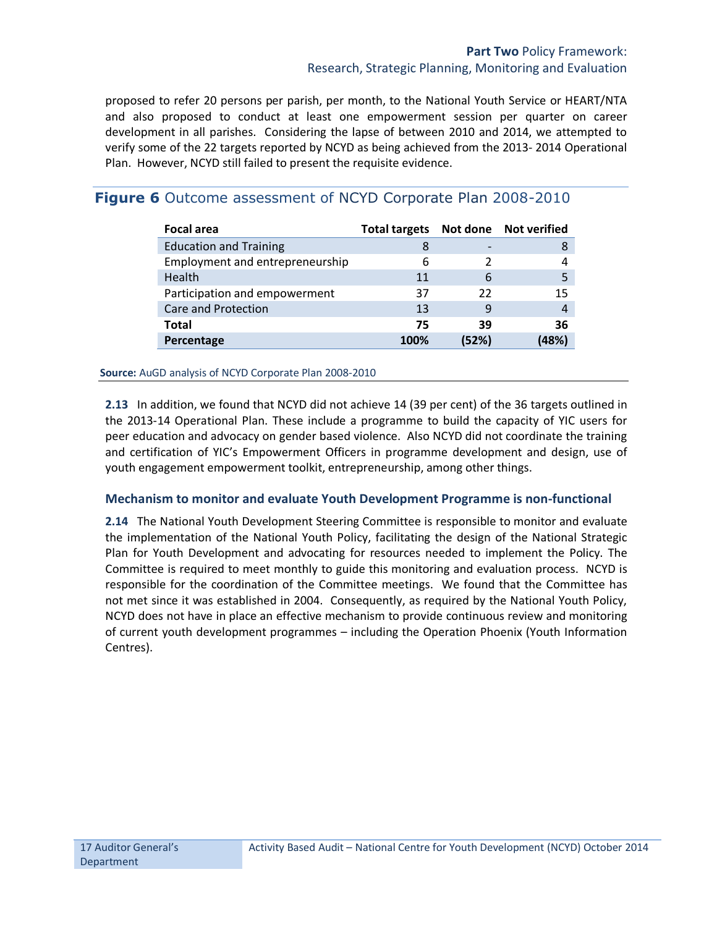## **Part Two** Policy Framework: Research, Strategic Planning, Monitoring and Evaluation

proposed to refer 20 persons per parish, per month, to the National Youth Service or HEART/NTA and also proposed to conduct at least one empowerment session per quarter on career development in all parishes. Considering the lapse of between 2010 and 2014, we attempted to verify some of the 22 targets reported by NCYD as being achieved from the 2013- 2014 Operational Plan. However, NCYD still failed to present the requisite evidence.

# **Figure 6** Outcome assessment of NCYD Corporate Plan 2008-2010

| <b>Focal area</b>               | Total targets Not done Not verified |       |      |
|---------------------------------|-------------------------------------|-------|------|
| <b>Education and Training</b>   | 8                                   |       |      |
| Employment and entrepreneurship | 6                                   |       |      |
| Health                          | 11                                  | 6     |      |
| Participation and empowerment   | 37                                  | 22    | 15   |
| <b>Care and Protection</b>      | 13                                  | q     | 4    |
| Total                           | 75                                  | 39    | 36   |
| Percentage                      | 100%                                | (52%) | (48% |

**Source:** AuGD analysis of NCYD Corporate Plan 2008-2010

**2.13** In addition, we found that NCYD did not achieve 14 (39 per cent) of the 36 targets outlined in the 2013-14 Operational Plan. These include a programme to build the capacity of YIC users for peer education and advocacy on gender based violence. Also NCYD did not coordinate the training and certification of YIC's Empowerment Officers in programme development and design, use of youth engagement empowerment toolkit, entrepreneurship, among other things.

### **Mechanism to monitor and evaluate Youth Development Programme is non-functional**

<span id="page-16-0"></span>**2.14** The National Youth Development Steering Committee is responsible to monitor and evaluate the implementation of the National Youth Policy, facilitating the design of the National Strategic Plan for Youth Development and advocating for resources needed to implement the Policy. The Committee is required to meet monthly to guide this monitoring and evaluation process. NCYD is responsible for the coordination of the Committee meetings. We found that the Committee has not met since it was established in 2004. Consequently, as required by the National Youth Policy, NCYD does not have in place an effective mechanism to provide continuous review and monitoring of current youth development programmes – including the Operation Phoenix (Youth Information Centres).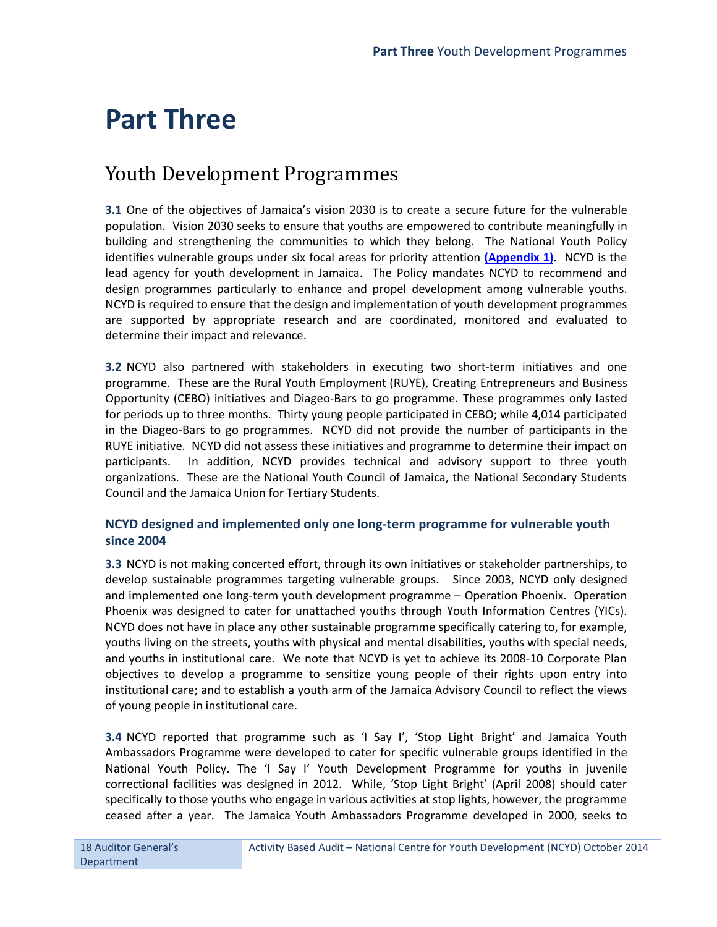# **Part Three**

# Youth Development Programmes

**3.1** One of the objectives of Jamaica's vision 2030 is to create a secure future for the vulnerable population. Vision 2030 seeks to ensure that youths are empowered to contribute meaningfully in building and strengthening the communities to which they belong. The National Youth Policy identifies vulnerable groups under six focal areas for priority attention **(Appendix 1).** NCYD is the lead agency for youth development in Jamaica. The Policy mandates NCYD to recommend and design programmes particularly to enhance and propel development among vulnerable youths. NCYD is required to ensure that the design and implementation of youth development programmes are supported by appropriate research and are coordinated, monitored and evaluated to determine their impact and relevance.

**3.2** NCYD also partnered with stakeholders in executing two short-term initiatives and one programme. These are the Rural Youth Employment (RUYE), Creating Entrepreneurs and Business Opportunity (CEBO) initiatives and Diageo-Bars to go programme. These programmes only lasted for periods up to three months. Thirty young people participated in CEBO; while 4,014 participated in the Diageo-Bars to go programmes. NCYD did not provide the number of participants in the RUYE initiative. NCYD did not assess these initiatives and programme to determine their impact on participants. In addition, NCYD provides technical and advisory support to three youth organizations. These are the National Youth Council of Jamaica, the National Secondary Students Council and the Jamaica Union for Tertiary Students.

### **NCYD designed and implemented only one long-term programme for vulnerable youth since 2004**

**3.3** NCYD is not making concerted effort, through its own initiatives or stakeholder partnerships, to develop sustainable programmes targeting vulnerable groups. Since 2003, NCYD only designed and implemented one long-term youth development programme – Operation Phoenix. Operation Phoenix was designed to cater for unattached youths through Youth Information Centres (YICs). NCYD does not have in place any other sustainable programme specifically catering to, for example, youths living on the streets, youths with physical and mental disabilities, youths with special needs, and youths in institutional care. We note that NCYD is yet to achieve its 2008-10 Corporate Plan objectives to develop a programme to sensitize young people of their rights upon entry into institutional care; and to establish a youth arm of the Jamaica Advisory Council to reflect the views of young people in institutional care.

<span id="page-17-2"></span><span id="page-17-1"></span><span id="page-17-0"></span>**3.4** NCYD reported that programme such as 'I Say I', 'Stop Light Bright' and Jamaica Youth Ambassadors Programme were developed to cater for specific vulnerable groups identified in the National Youth Policy. The 'I Say I' Youth Development Programme for youths in juvenile correctional facilities was designed in 2012. While, 'Stop Light Bright' (April 2008) should cater specifically to those youths who engage in various activities at stop lights, however, the programme ceased after a year. The Jamaica Youth Ambassadors Programme developed in 2000, seeks to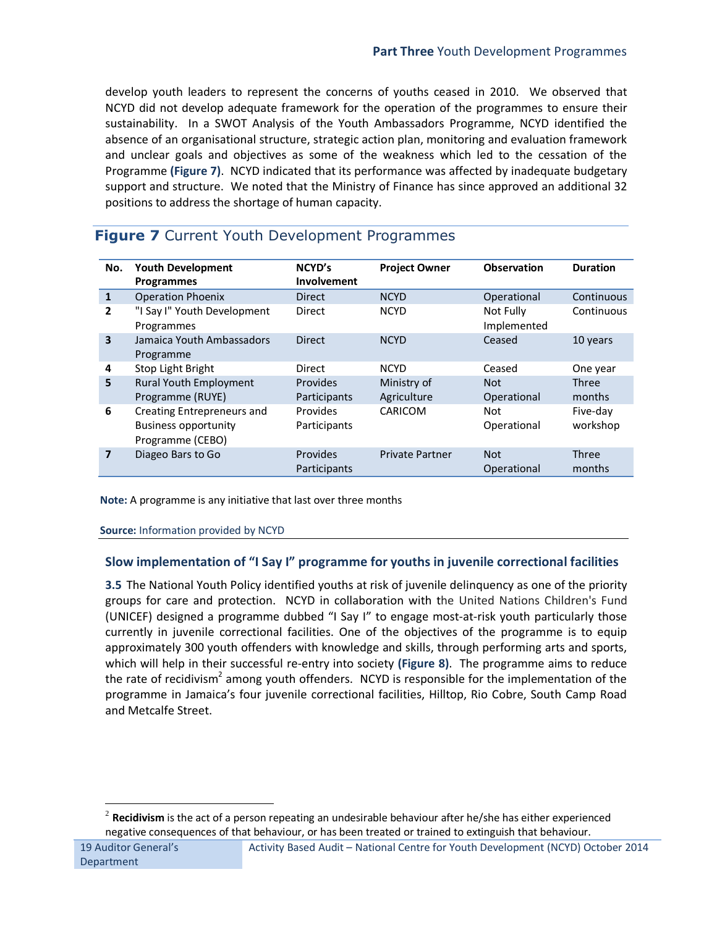develop youth leaders to represent the concerns of youths ceased in 2010. We observed that NCYD did not develop adequate framework for the operation of the programmes to ensure their sustainability. In a SWOT Analysis of the Youth Ambassadors Programme, NCYD identified the absence of an organisational structure, strategic action plan, monitoring and evaluation framework and unclear goals and objectives as some of the weakness which led to the cessation of the Programme **(Figure 7)**. NCYD indicated that its performance was affected by inadequate budgetary support and structure. We noted that the Ministry of Finance has since approved an additional 32 positions to address the shortage of human capacity.

| No.                     | <b>Youth Development</b>      | NCYD's        | <b>Project Owner</b>   | <b>Observation</b> | <b>Duration</b> |
|-------------------------|-------------------------------|---------------|------------------------|--------------------|-----------------|
|                         | <b>Programmes</b>             | Involvement   |                        |                    |                 |
| $\mathbf{1}$            | <b>Operation Phoenix</b>      | <b>Direct</b> | <b>NCYD</b>            | Operational        | Continuous      |
| 2                       | "I Say I" Youth Development   | Direct        | <b>NCYD</b>            | Not Fully          | Continuous      |
|                         | Programmes                    |               |                        | Implemented        |                 |
| $\overline{\mathbf{3}}$ | Jamaica Youth Ambassadors     | <b>Direct</b> | <b>NCYD</b>            | Ceased             | 10 years        |
|                         | Programme                     |               |                        |                    |                 |
| 4                       | Stop Light Bright             | Direct        | <b>NCYD</b>            | Ceased             | One year        |
| 5                       | <b>Rural Youth Employment</b> | Provides      | Ministry of            | <b>Not</b>         | <b>Three</b>    |
|                         | Programme (RUYE)              | Participants  | Agriculture            | Operational        | months          |
| 6                       | Creating Entrepreneurs and    | Provides      | CARICOM                | <b>Not</b>         | Five-day        |
|                         | <b>Business opportunity</b>   | Participants  |                        | Operational        | workshop        |
|                         | Programme (CEBO)              |               |                        |                    |                 |
| $\overline{7}$          | Diageo Bars to Go             | Provides      | <b>Private Partner</b> | <b>Not</b>         | Three           |
|                         |                               | Participants  |                        | Operational        | months          |

### **Figure 7** Current Youth Development Programmes

**Note:** A programme is any initiative that last over three months

**Source:** Information provided by NCYD

### **Slow implementation of "I Say I" programme for youths in juvenile correctional facilities**

**3.5** The National Youth Policy identified youths at risk of juvenile delinquency as one of the priority groups for care and protection. NCYD in collaboration with the United Nations Children's Fund (UNICEF) designed a programme dubbed "I Say I" to engage most-at-risk youth particularly those currently in juvenile correctional facilities. One of the objectives of the programme is to equip approximately 300 youth offenders with knowledge and skills, through performing arts and sports, which will help in their successful re-entry into society **(Figure 8)**. The programme aims to reduce the rate of recidivism<sup>2</sup> among youth offenders. NCYD is responsible for the implementation of the programme in Jamaica's four juvenile correctional facilities, Hilltop, Rio Cobre, South Camp Road and Metcalfe Street.

<span id="page-18-0"></span><sup>&</sup>lt;sup>2</sup> Recidivism is the act of a person repeating an undesirable behaviour after he/she has either experienced negative consequences of that behaviour, or has been treated or trained to extinguish that behaviour.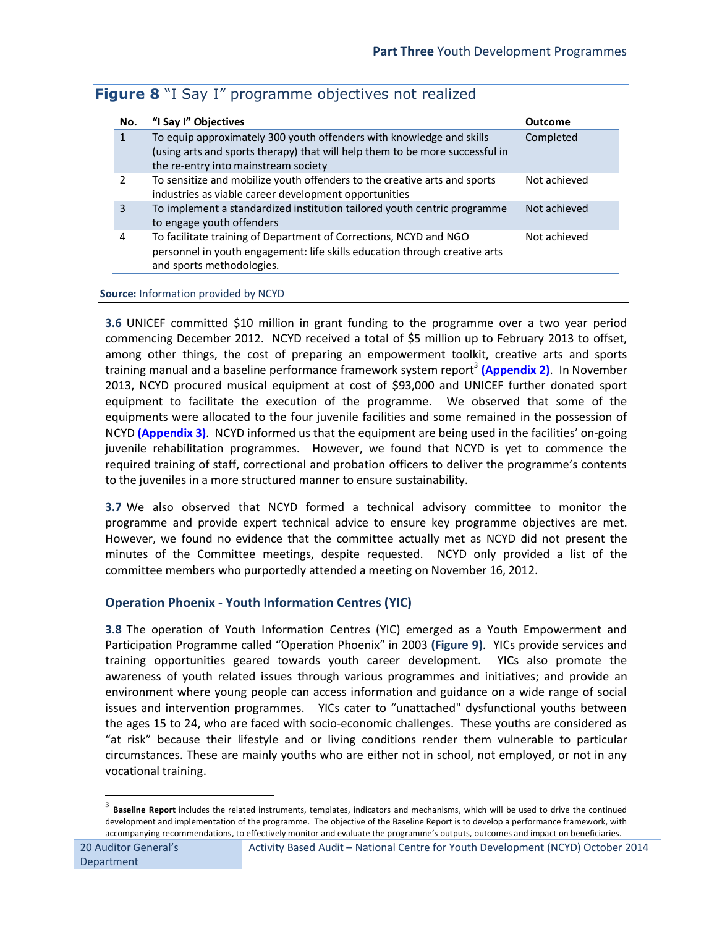| No.         | "I Say I" Objectives                                                                                                                                                                         | <b>Outcome</b> |
|-------------|----------------------------------------------------------------------------------------------------------------------------------------------------------------------------------------------|----------------|
| $\mathbf 1$ | To equip approximately 300 youth offenders with knowledge and skills<br>(using arts and sports therapy) that will help them to be more successful in<br>the re-entry into mainstream society | Completed      |
|             | To sensitize and mobilize youth offenders to the creative arts and sports<br>industries as viable career development opportunities                                                           | Not achieved   |
| 3           | To implement a standardized institution tailored youth centric programme<br>to engage youth offenders                                                                                        | Not achieved   |
| 4           | To facilitate training of Department of Corrections, NCYD and NGO<br>personnel in youth engagement: life skills education through creative arts<br>and sports methodologies.                 | Not achieved   |

# **Figure 8** "I Say I" programme objectives not realized

#### **Source:** Information provided by NCYD

**3.6** UNICEF committed \$10 million in grant funding to the programme over a two year period commencing December 2012. NCYD received a total of \$5 million up to February 2013 to offset, among other things, the cost of preparing an empowerment toolkit, creative arts and sports training manual and a baseline performance framework system report<sup>3</sup> (Appendix 2). In November 2013, NCYD procured musical equipment at cost of \$93,000 and UNICEF further donated sport equipment to facilitate the execution of the programme. We observed that some of the equipments were allocated to the four juvenile facilities and some remained in the possession of NCYD **(Appendix 3)**. NCYD informed us that the equipment are being used in the facilities' on-going juvenile rehabilitation programmes. However, we found that NCYD is yet to commence the required training of staff, correctional and probation officers to deliver the programme's contents to the juveniles in a more structured manner to ensure sustainability.

**3.7** We also observed that NCYD formed a technical advisory committee to monitor the programme and provide expert technical advice to ensure key programme objectives are met. However, we found no evidence that the committee actually met as NCYD did not present the minutes of the Committee meetings, despite requested. NCYD only provided a list of the committee members who purportedly attended a meeting on November 16, 2012.

### **Operation Phoenix - Youth Information Centres (YIC)**

**3.8** The operation of Youth Information Centres (YIC) emerged as a Youth Empowerment and Participation Programme called "Operation Phoenix" in 2003 **(Figure 9)**. YICs provide services and training opportunities geared towards youth career development. YICs also promote the awareness of youth related issues through various programmes and initiatives; and provide an environment where young people can access information and guidance on a wide range of social issues and intervention programmes. YICs cater to "unattached" dysfunctional youths between the ages 15 to 24, who are faced with socio-economic challenges. These youths are considered as "at risk" because their lifestyle and or living conditions render them vulnerable to particular circumstances. These are mainly youths who are either not in school, not employed, or not in any vocational training.

<span id="page-19-0"></span> <sup>3</sup> **Baseline Report** includes the related instruments, templates, indicators and mechanisms, which will be used to drive the continued development and implementation of the programme. The objective of the Baseline Report is to develop a performance framework, with accompanying recommendations, to effectively monitor and evaluate the programme's outputs, outcomes and impact on beneficiaries.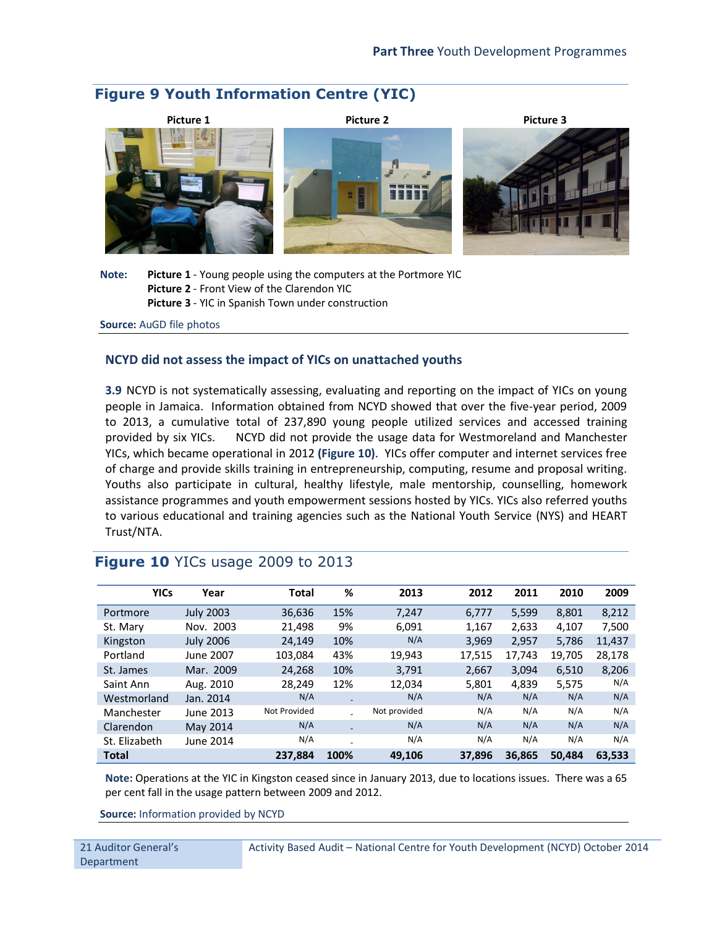

# **Figure 9 Youth Information Centre (YIC)**

**Note: Picture 1** - Young people using the computers at the Portmore YIC **Picture 2** - Front View of the Clarendon YIC **Picture 3** - YIC in Spanish Town under construction

**Source:** AuGD file photos

### **NCYD did not assess the impact of YICs on unattached youths**

**3.9** NCYD is not systematically assessing, evaluating and reporting on the impact of YICs on young people in Jamaica. Information obtained from NCYD showed that over the five-year period, 2009 to 2013, a cumulative total of 237,890 young people utilized services and accessed training provided by six YICs. NCYD did not provide the usage data for Westmoreland and Manchester YICs, which became operational in 2012 **(Figure 10)**. YICs offer computer and internet services free of charge and provide skills training in entrepreneurship, computing, resume and proposal writing. Youths also participate in cultural, healthy lifestyle, male mentorship, counselling, homework assistance programmes and youth empowerment sessions hosted by YICs. YICs also referred youths to various educational and training agencies such as the National Youth Service (NYS) and HEART Trust/NTA.

| <b>YICs</b>   | Year             | <b>Total</b> | %      | 2013         | 2012   | 2011   | 2010   | 2009   |
|---------------|------------------|--------------|--------|--------------|--------|--------|--------|--------|
| Portmore      | <b>July 2003</b> | 36,636       | 15%    | 7,247        | 6.777  | 5,599  | 8,801  | 8,212  |
| St. Mary      | Nov. 2003        | 21,498       | 9%     | 6,091        | 1,167  | 2,633  | 4,107  | 7,500  |
| Kingston      | <b>July 2006</b> | 24,149       | 10%    | N/A          | 3,969  | 2,957  | 5,786  | 11,437 |
| Portland      | June 2007        | 103.084      | 43%    | 19.943       | 17,515 | 17,743 | 19.705 | 28.178 |
| St. James     | Mar. 2009        | 24.268       | 10%    | 3,791        | 2,667  | 3,094  | 6,510  | 8,206  |
| Saint Ann     | Aug. 2010        | 28.249       | 12%    | 12.034       | 5.801  | 4.839  | 5,575  | N/A    |
| Westmorland   | Jan. 2014        | N/A          | $\sim$ | N/A          | N/A    | N/A    | N/A    | N/A    |
| Manchester    | June 2013        | Not Provided |        | Not provided | N/A    | N/A    | N/A    | N/A    |
| Clarendon     | May 2014         | N/A          |        | N/A          | N/A    | N/A    | N/A    | N/A    |
| St. Elizabeth | June 2014        | N/A          |        | N/A          | N/A    | N/A    | N/A    | N/A    |
| <b>Total</b>  |                  | 237.884      | 100%   | 49.106       | 37.896 | 36.865 | 50.484 | 63.533 |

# **Figure 10 YICs usage 2009 to 2013**

<span id="page-20-0"></span>**Note:** Operations at the YIC in Kingston ceased since in January 2013, due to locations issues. There was a 65 per cent fall in the usage pattern between 2009 and 2012.

**Source:** Information provided by NCYD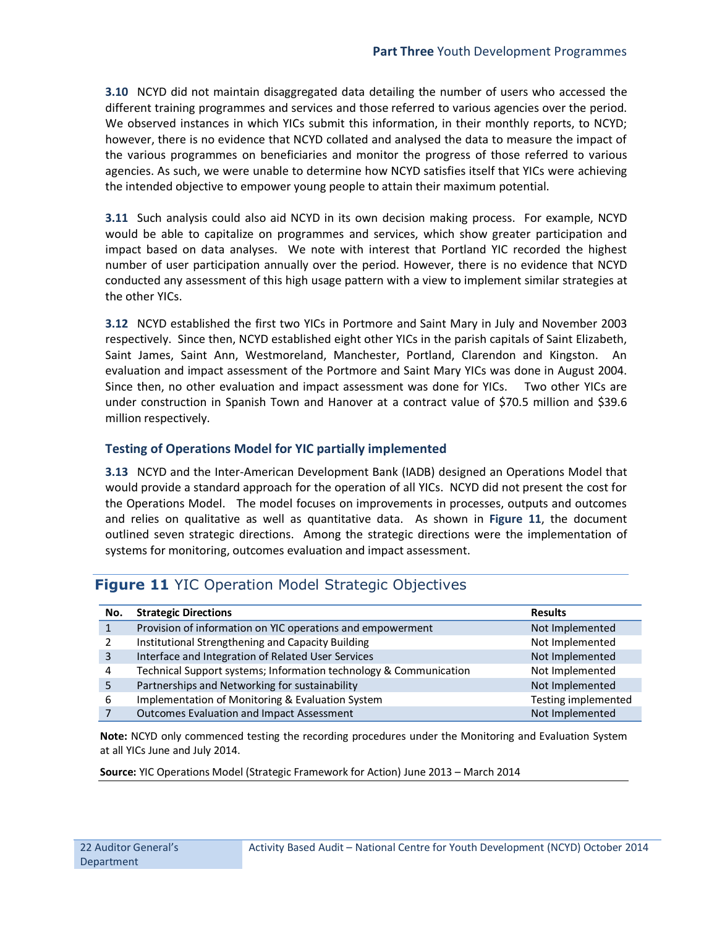**3.10** NCYD did not maintain disaggregated data detailing the number of users who accessed the different training programmes and services and those referred to various agencies over the period. We observed instances in which YICs submit this information, in their monthly reports, to NCYD; however, there is no evidence that NCYD collated and analysed the data to measure the impact of the various programmes on beneficiaries and monitor the progress of those referred to various agencies. As such, we were unable to determine how NCYD satisfies itself that YICs were achieving the intended objective to empower young people to attain their maximum potential.

**3.11** Such analysis could also aid NCYD in its own decision making process. For example, NCYD would be able to capitalize on programmes and services, which show greater participation and impact based on data analyses. We note with interest that Portland YIC recorded the highest number of user participation annually over the period. However, there is no evidence that NCYD conducted any assessment of this high usage pattern with a view to implement similar strategies at the other YICs.

**3.12** NCYD established the first two YICs in Portmore and Saint Mary in July and November 2003 respectively. Since then, NCYD established eight other YICs in the parish capitals of Saint Elizabeth, Saint James, Saint Ann, Westmoreland, Manchester, Portland, Clarendon and Kingston. An evaluation and impact assessment of the Portmore and Saint Mary YICs was done in August 2004. Since then, no other evaluation and impact assessment was done for YICs. Two other YICs are under construction in Spanish Town and Hanover at a contract value of \$70.5 million and \$39.6 million respectively.

### **Testing of Operations Model for YIC partially implemented**

**3.13** NCYD and the Inter-American Development Bank (IADB) designed an Operations Model that would provide a standard approach for the operation of all YICs. NCYD did not present the cost for the Operations Model. The model focuses on improvements in processes, outputs and outcomes and relies on qualitative as well as quantitative data. As shown in **Figure 11**, the document outlined seven strategic directions. Among the strategic directions were the implementation of systems for monitoring, outcomes evaluation and impact assessment.

# **Figure 11** YIC Operation Model Strategic Objectives

| No. | <b>Strategic Directions</b>                                       | <b>Results</b>      |
|-----|-------------------------------------------------------------------|---------------------|
|     | Provision of information on YIC operations and empowerment        | Not Implemented     |
|     | Institutional Strengthening and Capacity Building                 | Not Implemented     |
| 3   | Interface and Integration of Related User Services                | Not Implemented     |
| 4   | Technical Support systems; Information technology & Communication | Not Implemented     |
| 5   | Partnerships and Networking for sustainability                    | Not Implemented     |
| 6   | Implementation of Monitoring & Evaluation System                  | Testing implemented |
|     | <b>Outcomes Evaluation and Impact Assessment</b>                  | Not Implemented     |

**Note:** NCYD only commenced testing the recording procedures under the Monitoring and Evaluation System at all YICs June and July 2014.

<span id="page-21-0"></span>**Source:** YIC Operations Model (Strategic Framework for Action) June 2013 – March 2014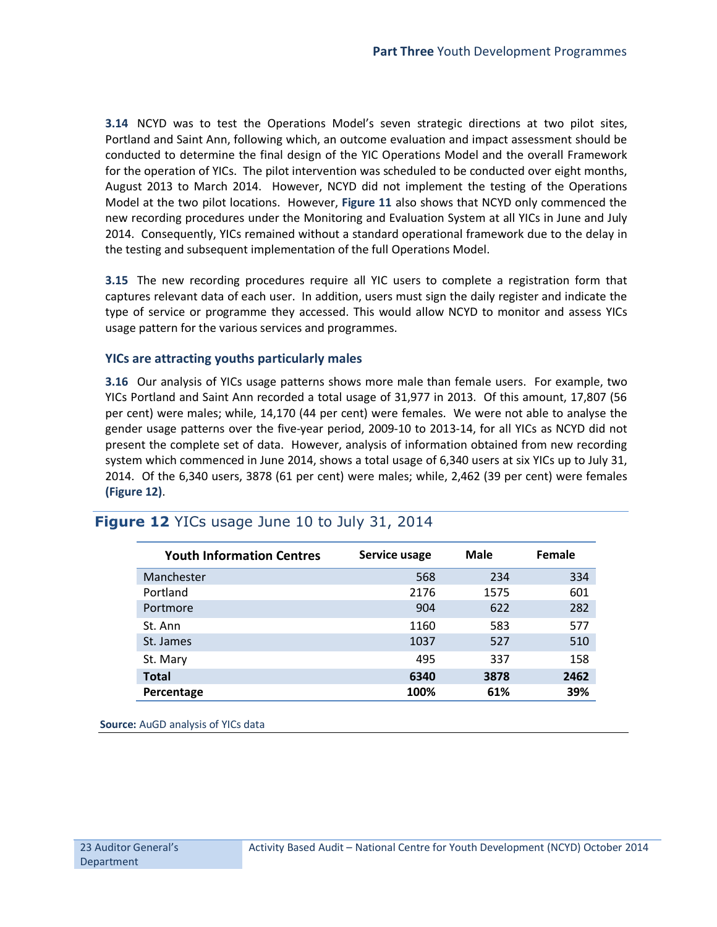**3.14** NCYD was to test the Operations Model's seven strategic directions at two pilot sites, Portland and Saint Ann, following which, an outcome evaluation and impact assessment should be conducted to determine the final design of the YIC Operations Model and the overall Framework for the operation of YICs. The pilot intervention was scheduled to be conducted over eight months, August 2013 to March 2014. However, NCYD did not implement the testing of the Operations Model at the two pilot locations. However, **Figure 11** also shows that NCYD only commenced the new recording procedures under the Monitoring and Evaluation System at all YICs in June and July 2014. Consequently, YICs remained without a standard operational framework due to the delay in the testing and subsequent implementation of the full Operations Model.

**3.15** The new recording procedures require all YIC users to complete a registration form that captures relevant data of each user. In addition, users must sign the daily register and indicate the type of service or programme they accessed. This would allow NCYD to monitor and assess YICs usage pattern for the various services and programmes.

### **YICs are attracting youths particularly males**

**3.16** Our analysis of YICs usage patterns shows more male than female users. For example, two YICs Portland and Saint Ann recorded a total usage of 31,977 in 2013. Of this amount, 17,807 (56 per cent) were males; while, 14,170 (44 per cent) were females. We were not able to analyse the gender usage patterns over the five-year period, 2009-10 to 2013-14, for all YICs as NCYD did not present the complete set of data. However, analysis of information obtained from new recording system which commenced in June 2014, shows a total usage of 6,340 users at six YICs up to July 31, 2014. Of the 6,340 users, 3878 (61 per cent) were males; while, 2,462 (39 per cent) were females **(Figure 12)**.

| <b>Youth Information Centres</b> | Service usage | <b>Male</b> | Female |
|----------------------------------|---------------|-------------|--------|
| Manchester                       | 568           | 234         | 334    |
| Portland                         | 2176          | 1575        | 601    |
| Portmore                         | 904           | 622         | 282    |
| St. Ann                          | 1160          | 583         | 577    |
| St. James                        | 1037          | 527         | 510    |
| St. Mary                         | 495           | 337         | 158    |
| <b>Total</b>                     | 6340          | 3878        | 2462   |
| Percentage                       | 100%          | 61%         | 39%    |

# **Figure 12** YICs usage June 10 to July 31, 2014

<span id="page-22-0"></span>**Source:** AuGD analysis of YICs data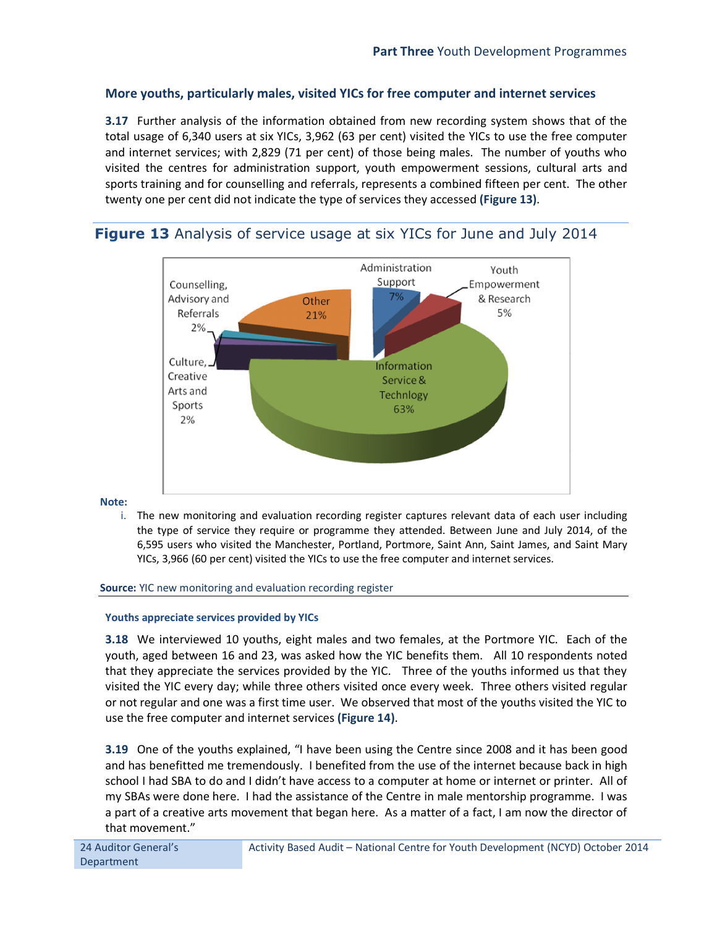### **More youths, particularly males, visited YICs for free computer and internet services**

**3.17** Further analysis of the information obtained from new recording system shows that of the total usage of 6,340 users at six YICs, 3,962 (63 per cent) visited the YICs to use the free computer and internet services; with 2,829 (71 per cent) of those being males. The number of youths who visited the centres for administration support, youth empowerment sessions, cultural arts and sports training and for counselling and referrals, represents a combined fifteen per cent. The other twenty one per cent did not indicate the type of services they accessed **(Figure 13)**.



## **Figure 13** Analysis of service usage at six YICs for June and July 2014

#### **Note:**

i. The new monitoring and evaluation recording register captures relevant data of each user including the type of service they require or programme they attended. Between June and July 2014, of the 6,595 users who visited the Manchester, Portland, Portmore, Saint Ann, Saint James, and Saint Mary YICs, 3,966 (60 per cent) visited the YICs to use the free computer and internet services.

### **Source:** YIC new monitoring and evaluation recording register

### **Youths appreciate services provided by YICs**

**3.18** We interviewed 10 youths, eight males and two females, at the Portmore YIC. Each of the youth, aged between 16 and 23, was asked how the YIC benefits them. All 10 respondents noted that they appreciate the services provided by the YIC. Three of the youths informed us that they visited the YIC every day; while three others visited once every week. Three others visited regular or not regular and one was a first time user. We observed that most of the youths visited the YIC to use the free computer and internet services **(Figure 14)**.

<span id="page-23-1"></span><span id="page-23-0"></span>**3.19** One of the youths explained, "I have been using the Centre since 2008 and it has been good and has benefitted me tremendously. I benefited from the use of the internet because back in high school I had SBA to do and I didn't have access to a computer at home or internet or printer. All of my SBAs were done here. I had the assistance of the Centre in male mentorship programme. I was a part of a creative arts movement that began here. As a matter of a fact, I am now the director of that movement."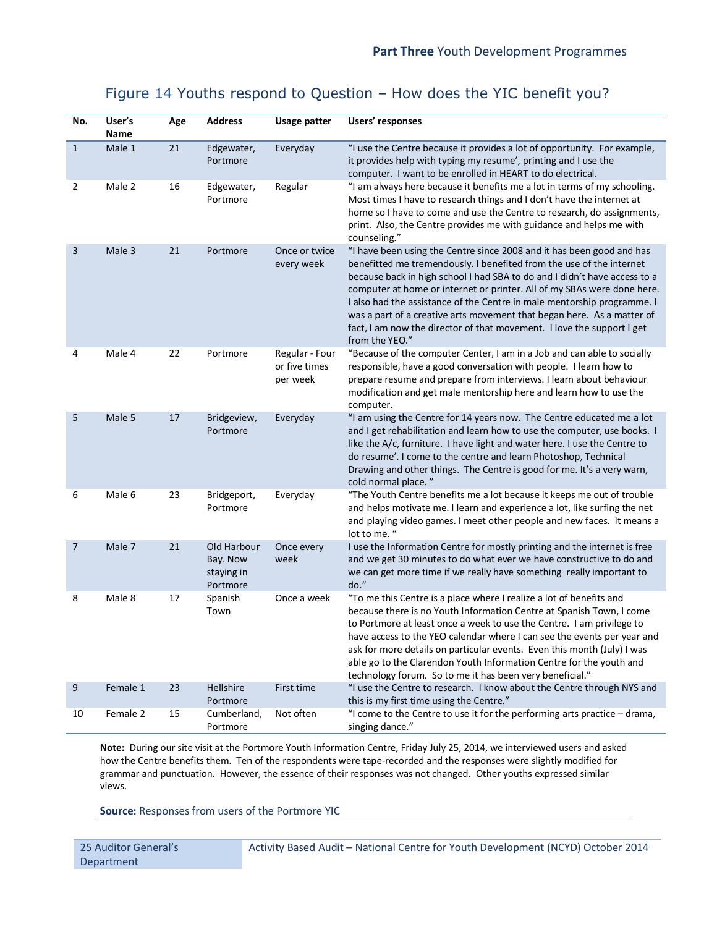# Figure 14 Youths respond to Question – How does the YIC benefit you?

| No.            | User's<br>Name | Age | <b>Address</b>                                    | <b>Usage patter</b>                         | Users' responses                                                                                                                                                                                                                                                                                                                                                                                                                                                                                                                                       |
|----------------|----------------|-----|---------------------------------------------------|---------------------------------------------|--------------------------------------------------------------------------------------------------------------------------------------------------------------------------------------------------------------------------------------------------------------------------------------------------------------------------------------------------------------------------------------------------------------------------------------------------------------------------------------------------------------------------------------------------------|
| $\mathbf{1}$   | Male 1         | 21  | Edgewater,<br>Portmore                            | Everyday                                    | "I use the Centre because it provides a lot of opportunity. For example,<br>it provides help with typing my resume', printing and I use the<br>computer. I want to be enrolled in HEART to do electrical.                                                                                                                                                                                                                                                                                                                                              |
| $\overline{2}$ | Male 2         | 16  | Edgewater,<br>Portmore                            | Regular                                     | "I am always here because it benefits me a lot in terms of my schooling.<br>Most times I have to research things and I don't have the internet at<br>home so I have to come and use the Centre to research, do assignments,<br>print. Also, the Centre provides me with guidance and helps me with<br>counseling."                                                                                                                                                                                                                                     |
| 3              | Male 3         | 21  | Portmore                                          | Once or twice<br>every week                 | "I have been using the Centre since 2008 and it has been good and has<br>benefitted me tremendously. I benefited from the use of the internet<br>because back in high school I had SBA to do and I didn't have access to a<br>computer at home or internet or printer. All of my SBAs were done here.<br>I also had the assistance of the Centre in male mentorship programme. I<br>was a part of a creative arts movement that began here. As a matter of<br>fact, I am now the director of that movement. I love the support I get<br>from the YEO." |
| 4              | Male 4         | 22  | Portmore                                          | Regular - Four<br>or five times<br>per week | "Because of the computer Center, I am in a Job and can able to socially<br>responsible, have a good conversation with people. I learn how to<br>prepare resume and prepare from interviews. I learn about behaviour<br>modification and get male mentorship here and learn how to use the<br>computer.                                                                                                                                                                                                                                                 |
| 5              | Male 5         | 17  | Bridgeview,<br>Portmore                           | Everyday                                    | "I am using the Centre for 14 years now. The Centre educated me a lot<br>and I get rehabilitation and learn how to use the computer, use books. I<br>like the A/c, furniture. I have light and water here. I use the Centre to<br>do resume'. I come to the centre and learn Photoshop, Technical<br>Drawing and other things. The Centre is good for me. It's a very warn,<br>cold normal place."                                                                                                                                                     |
| 6              | Male 6         | 23  | Bridgeport,<br>Portmore                           | Everyday                                    | "The Youth Centre benefits me a lot because it keeps me out of trouble<br>and helps motivate me. I learn and experience a lot, like surfing the net<br>and playing video games. I meet other people and new faces. It means a<br>lot to me. "                                                                                                                                                                                                                                                                                                          |
| 7              | Male 7         | 21  | Old Harbour<br>Bay. Now<br>staying in<br>Portmore | Once every<br>week                          | I use the Information Centre for mostly printing and the internet is free<br>and we get 30 minutes to do what ever we have constructive to do and<br>we can get more time if we really have something really important to<br>do.'                                                                                                                                                                                                                                                                                                                      |
| 8              | Male 8         | 17  | Spanish<br>Town                                   | Once a week                                 | "To me this Centre is a place where I realize a lot of benefits and<br>because there is no Youth Information Centre at Spanish Town, I come<br>to Portmore at least once a week to use the Centre. I am privilege to<br>have access to the YEO calendar where I can see the events per year and<br>ask for more details on particular events. Even this month (July) I was<br>able go to the Clarendon Youth Information Centre for the youth and<br>technology forum. So to me it has been very beneficial."                                          |
| 9              | Female 1       | 23  | Hellshire<br>Portmore                             | First time                                  | "I use the Centre to research. I know about the Centre through NYS and<br>this is my first time using the Centre."                                                                                                                                                                                                                                                                                                                                                                                                                                     |
| 10             | Female 2       | 15  | Cumberland,<br>Portmore                           | Not often                                   | "I come to the Centre to use it for the performing arts practice - drama,<br>singing dance."                                                                                                                                                                                                                                                                                                                                                                                                                                                           |

**Note:** During our site visit at the Portmore Youth Information Centre, Friday July 25, 2014, we interviewed users and asked how the Centre benefits them. Ten of the respondents were tape-recorded and the responses were slightly modified for grammar and punctuation. However, the essence of their responses was not changed. Other youths expressed similar views.

**Source:** Responses from users of the Portmore YIC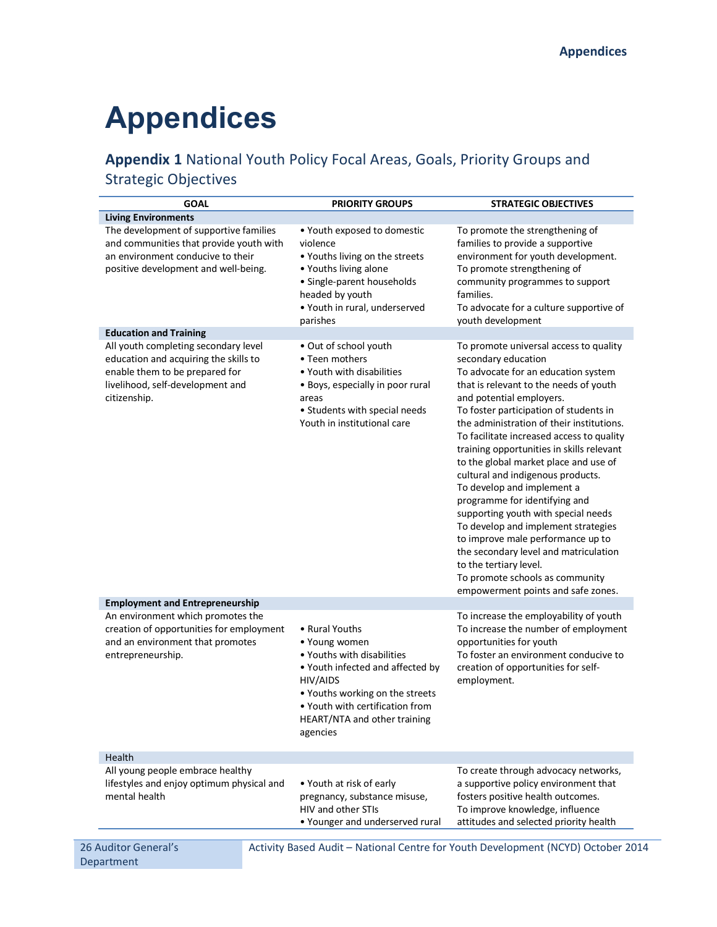# **Appendices**

# **Appendix 1** National Youth Policy Focal Areas, Goals, Priority Groups and Strategic Objectives

<span id="page-25-1"></span><span id="page-25-0"></span>

| <b>GOAL</b>                                                                                                                                                         | <b>PRIORITY GROUPS</b>                                                                                                                                                                                                          | <b>STRATEGIC OBJECTIVES</b>                                                                                                                                                                                                                                                                                                                                                                                                                                                                                                                                                                                                                                                                                                                                             |  |  |
|---------------------------------------------------------------------------------------------------------------------------------------------------------------------|---------------------------------------------------------------------------------------------------------------------------------------------------------------------------------------------------------------------------------|-------------------------------------------------------------------------------------------------------------------------------------------------------------------------------------------------------------------------------------------------------------------------------------------------------------------------------------------------------------------------------------------------------------------------------------------------------------------------------------------------------------------------------------------------------------------------------------------------------------------------------------------------------------------------------------------------------------------------------------------------------------------------|--|--|
| <b>Living Environments</b>                                                                                                                                          |                                                                                                                                                                                                                                 |                                                                                                                                                                                                                                                                                                                                                                                                                                                                                                                                                                                                                                                                                                                                                                         |  |  |
| The development of supportive families<br>and communities that provide youth with<br>an environment conducive to their<br>positive development and well-being.      | • Youth exposed to domestic<br>violence<br>• Youths living on the streets<br>• Youths living alone<br>• Single-parent households<br>headed by youth<br>• Youth in rural, underserved<br>parishes                                | To promote the strengthening of<br>families to provide a supportive<br>environment for youth development.<br>To promote strengthening of<br>community programmes to support<br>families.<br>To advocate for a culture supportive of<br>youth development                                                                                                                                                                                                                                                                                                                                                                                                                                                                                                                |  |  |
| <b>Education and Training</b>                                                                                                                                       |                                                                                                                                                                                                                                 |                                                                                                                                                                                                                                                                                                                                                                                                                                                                                                                                                                                                                                                                                                                                                                         |  |  |
| All youth completing secondary level<br>education and acquiring the skills to<br>enable them to be prepared for<br>livelihood, self-development and<br>citizenship. | • Out of school youth<br>• Teen mothers<br>• Youth with disabilities<br>• Boys, especially in poor rural<br>areas<br>• Students with special needs<br>Youth in institutional care                                               | To promote universal access to quality<br>secondary education<br>To advocate for an education system<br>that is relevant to the needs of youth<br>and potential employers.<br>To foster participation of students in<br>the administration of their institutions.<br>To facilitate increased access to quality<br>training opportunities in skills relevant<br>to the global market place and use of<br>cultural and indigenous products.<br>To develop and implement a<br>programme for identifying and<br>supporting youth with special needs<br>To develop and implement strategies<br>to improve male performance up to<br>the secondary level and matriculation<br>to the tertiary level.<br>To promote schools as community<br>empowerment points and safe zones. |  |  |
| <b>Employment and Entrepreneurship</b>                                                                                                                              |                                                                                                                                                                                                                                 |                                                                                                                                                                                                                                                                                                                                                                                                                                                                                                                                                                                                                                                                                                                                                                         |  |  |
| An environment which promotes the<br>creation of opportunities for employment<br>and an environment that promotes<br>entrepreneurship.                              | • Rural Youths<br>• Young women<br>• Youths with disabilities<br>• Youth infected and affected by<br>HIV/AIDS<br>• Youths working on the streets<br>. Youth with certification from<br>HEART/NTA and other training<br>agencies | To increase the employability of youth<br>To increase the number of employment<br>opportunities for youth<br>To foster an environment conducive to<br>creation of opportunities for self-<br>employment.                                                                                                                                                                                                                                                                                                                                                                                                                                                                                                                                                                |  |  |
| Health                                                                                                                                                              |                                                                                                                                                                                                                                 |                                                                                                                                                                                                                                                                                                                                                                                                                                                                                                                                                                                                                                                                                                                                                                         |  |  |
| All young people embrace healthy<br>lifestyles and enjoy optimum physical and<br>mental health                                                                      | • Youth at risk of early<br>pregnancy, substance misuse,<br>HIV and other STIs<br>• Younger and underserved rural                                                                                                               | To create through advocacy networks,<br>a supportive policy environment that<br>fosters positive health outcomes.<br>To improve knowledge, influence<br>attitudes and selected priority health                                                                                                                                                                                                                                                                                                                                                                                                                                                                                                                                                                          |  |  |
| Auditor General's                                                                                                                                                   |                                                                                                                                                                                                                                 | Activity Rased Audit - National Centre for Youth Development (NCYD) October 20                                                                                                                                                                                                                                                                                                                                                                                                                                                                                                                                                                                                                                                                                          |  |  |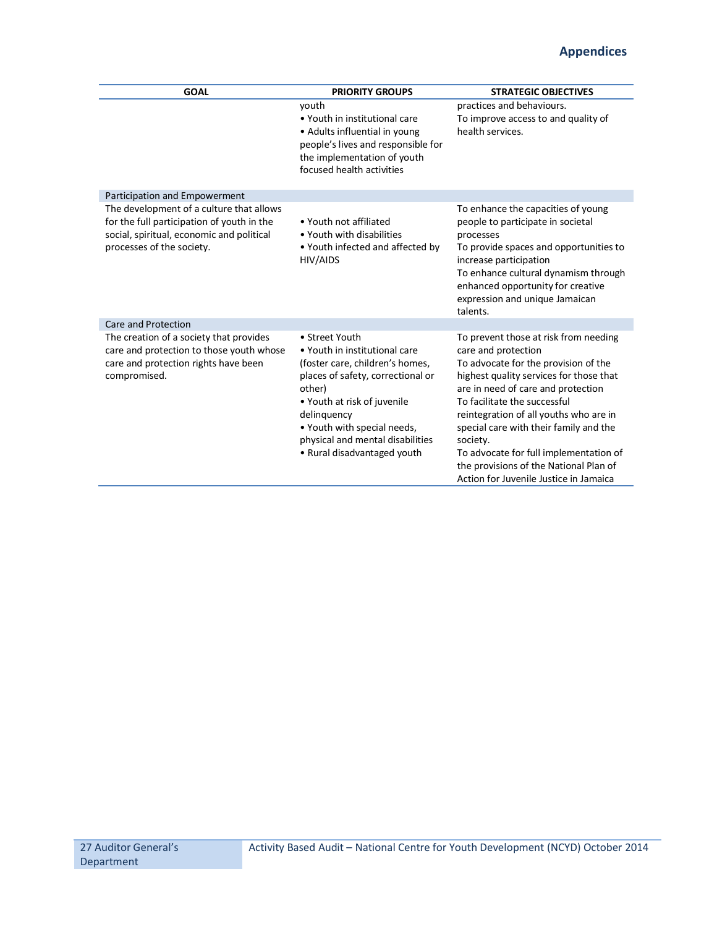## **Appendices**

| <b>GOAL</b>                                                                                                                                                      | <b>PRIORITY GROUPS</b>                                                                                                                                                                                                                                                            | <b>STRATEGIC OBJECTIVES</b>                                                                                                                                                                                                                                                                                                                                                                                                                         |  |  |
|------------------------------------------------------------------------------------------------------------------------------------------------------------------|-----------------------------------------------------------------------------------------------------------------------------------------------------------------------------------------------------------------------------------------------------------------------------------|-----------------------------------------------------------------------------------------------------------------------------------------------------------------------------------------------------------------------------------------------------------------------------------------------------------------------------------------------------------------------------------------------------------------------------------------------------|--|--|
|                                                                                                                                                                  | vouth<br>. Youth in institutional care<br>• Adults influential in young<br>people's lives and responsible for<br>the implementation of youth<br>focused health activities                                                                                                         | practices and behaviours.<br>To improve access to and quality of<br>health services.                                                                                                                                                                                                                                                                                                                                                                |  |  |
| Participation and Empowerment                                                                                                                                    |                                                                                                                                                                                                                                                                                   |                                                                                                                                                                                                                                                                                                                                                                                                                                                     |  |  |
| The development of a culture that allows<br>for the full participation of youth in the<br>social, spiritual, economic and political<br>processes of the society. | • Youth not affiliated<br>• Youth with disabilities<br>• Youth infected and affected by<br>HIV/AIDS                                                                                                                                                                               | To enhance the capacities of young<br>people to participate in societal<br>processes<br>To provide spaces and opportunities to<br>increase participation<br>To enhance cultural dynamism through<br>enhanced opportunity for creative<br>expression and unique Jamaican<br>talents.                                                                                                                                                                 |  |  |
| Care and Protection                                                                                                                                              |                                                                                                                                                                                                                                                                                   |                                                                                                                                                                                                                                                                                                                                                                                                                                                     |  |  |
| The creation of a society that provides<br>care and protection to those youth whose<br>care and protection rights have been<br>compromised.                      | • Street Youth<br>. Youth in institutional care<br>(foster care, children's homes,<br>places of safety, correctional or<br>other)<br>• Youth at risk of juvenile<br>delinquency<br>. Youth with special needs,<br>physical and mental disabilities<br>• Rural disadvantaged youth | To prevent those at risk from needing<br>care and protection<br>To advocate for the provision of the<br>highest quality services for those that<br>are in need of care and protection<br>To facilitate the successful<br>reintegration of all youths who are in<br>special care with their family and the<br>society.<br>To advocate for full implementation of<br>the provisions of the National Plan of<br>Action for Juvenile Justice in Jamaica |  |  |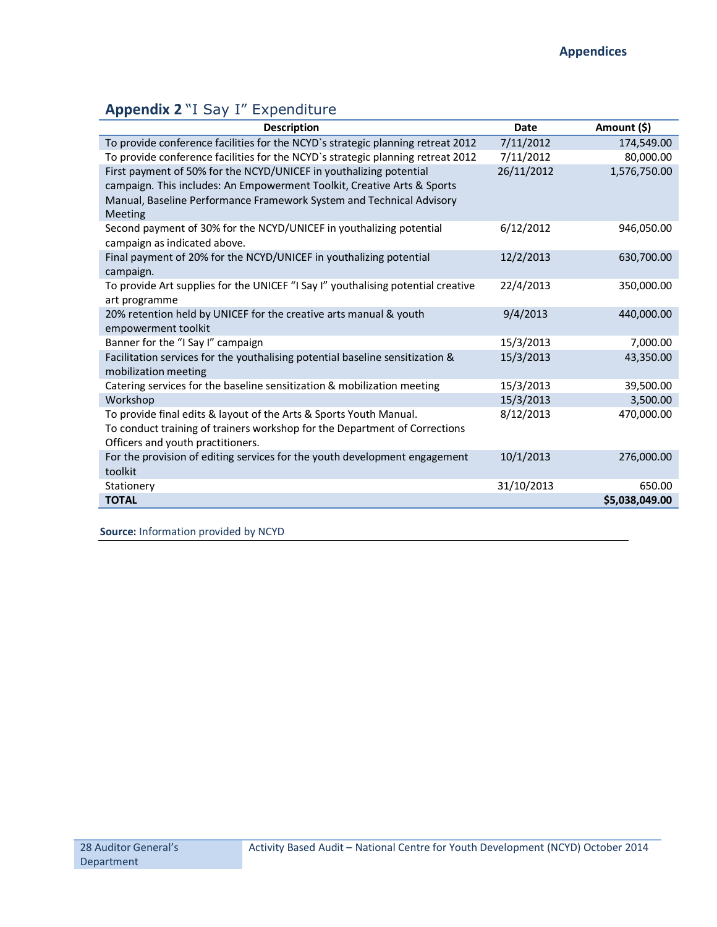# **Appendix 2** "I Say I" Expenditure

| <b>Description</b>                                                               | Date       | Amount (\$)    |
|----------------------------------------------------------------------------------|------------|----------------|
| To provide conference facilities for the NCYD's strategic planning retreat 2012  | 7/11/2012  | 174,549.00     |
| To provide conference facilities for the NCYD's strategic planning retreat 2012  | 7/11/2012  | 80,000.00      |
| First payment of 50% for the NCYD/UNICEF in youthalizing potential               | 26/11/2012 | 1,576,750.00   |
| campaign. This includes: An Empowerment Toolkit, Creative Arts & Sports          |            |                |
| Manual, Baseline Performance Framework System and Technical Advisory             |            |                |
| Meeting                                                                          |            |                |
| Second payment of 30% for the NCYD/UNICEF in youthalizing potential              | 6/12/2012  | 946,050.00     |
| campaign as indicated above.                                                     |            |                |
| Final payment of 20% for the NCYD/UNICEF in youthalizing potential               | 12/2/2013  | 630,700.00     |
| campaign.                                                                        |            |                |
| To provide Art supplies for the UNICEF "I Say I" youthalising potential creative | 22/4/2013  | 350,000.00     |
| art programme                                                                    |            |                |
| 20% retention held by UNICEF for the creative arts manual & youth                | 9/4/2013   | 440,000.00     |
| empowerment toolkit                                                              |            |                |
| Banner for the "I Say I" campaign                                                | 15/3/2013  | 7,000.00       |
| Facilitation services for the youthalising potential baseline sensitization &    | 15/3/2013  | 43,350.00      |
| mobilization meeting                                                             |            |                |
| Catering services for the baseline sensitization & mobilization meeting          | 15/3/2013  | 39,500.00      |
| Workshop                                                                         | 15/3/2013  | 3,500.00       |
| To provide final edits & layout of the Arts & Sports Youth Manual.               | 8/12/2013  | 470,000.00     |
| To conduct training of trainers workshop for the Department of Corrections       |            |                |
| Officers and youth practitioners.                                                |            |                |
| For the provision of editing services for the youth development engagement       | 10/1/2013  | 276,000.00     |
| toolkit                                                                          |            |                |
| Stationery                                                                       | 31/10/2013 | 650.00         |
| <b>TOTAL</b>                                                                     |            | \$5,038,049.00 |

<span id="page-27-0"></span>**Source:** Information provided by NCYD